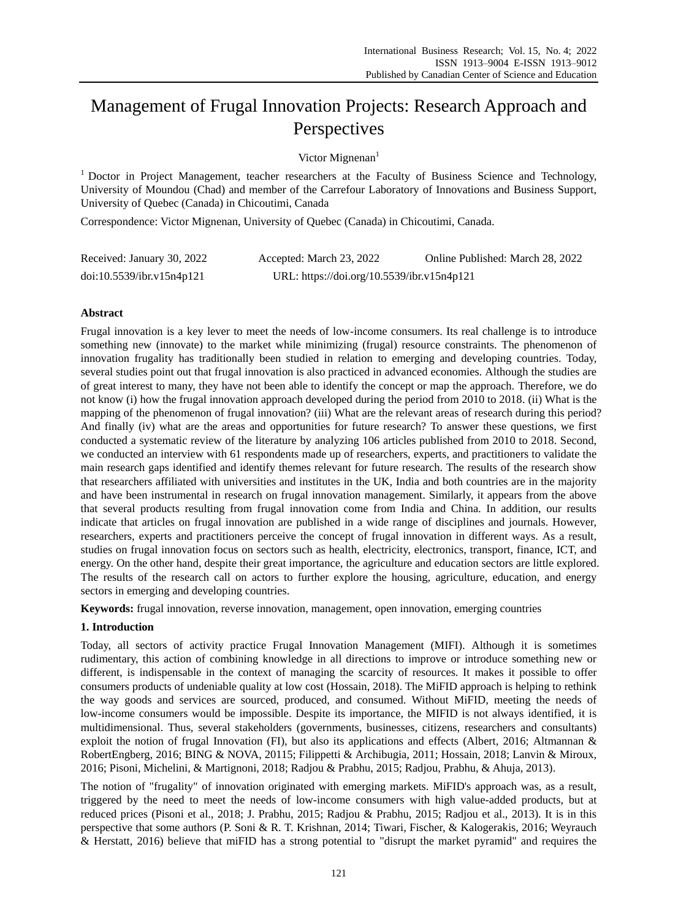# Management of Frugal Innovation Projects: Research Approach and **Perspectives**

Victor Mignenan<sup>1</sup>

 $1$  Doctor in Project Management, teacher researchers at the Faculty of Business Science and Technology, University of Moundou (Chad) and member of the Carrefour Laboratory of Innovations and Business Support, University of Quebec (Canada) in Chicoutimi, Canada

Correspondence: Victor Mignenan, University of Quebec (Canada) in Chicoutimi, Canada.

| Received: January 30, 2022 | Accepted: March 23, 2022                   | Online Published: March 28, 2022 |
|----------------------------|--------------------------------------------|----------------------------------|
| doi:10.5539/ibr.v15n4p121  | URL: https://doi.org/10.5539/ibr.v15n4p121 |                                  |

# **Abstract**

Frugal innovation is a key lever to meet the needs of low-income consumers. Its real challenge is to introduce something new (innovate) to the market while minimizing (frugal) resource constraints. The phenomenon of innovation frugality has traditionally been studied in relation to emerging and developing countries. Today, several studies point out that frugal innovation is also practiced in advanced economies. Although the studies are of great interest to many, they have not been able to identify the concept or map the approach. Therefore, we do not know (i) how the frugal innovation approach developed during the period from 2010 to 2018. (ii) What is the mapping of the phenomenon of frugal innovation? (iii) What are the relevant areas of research during this period? And finally (iv) what are the areas and opportunities for future research? To answer these questions, we first conducted a systematic review of the literature by analyzing 106 articles published from 2010 to 2018. Second, we conducted an interview with 61 respondents made up of researchers, experts, and practitioners to validate the main research gaps identified and identify themes relevant for future research. The results of the research show that researchers affiliated with universities and institutes in the UK, India and both countries are in the majority and have been instrumental in research on frugal innovation management. Similarly, it appears from the above that several products resulting from frugal innovation come from India and China. In addition, our results indicate that articles on frugal innovation are published in a wide range of disciplines and journals. However, researchers, experts and practitioners perceive the concept of frugal innovation in different ways. As a result, studies on frugal innovation focus on sectors such as health, electricity, electronics, transport, finance, ICT, and energy. On the other hand, despite their great importance, the agriculture and education sectors are little explored. The results of the research call on actors to further explore the housing, agriculture, education, and energy sectors in emerging and developing countries.

**Keywords:** frugal innovation, reverse innovation, management, open innovation, emerging countries

# **1. Introduction**

Today, all sectors of activity practice Frugal Innovation Management (MIFI). Although it is sometimes rudimentary, this action of combining knowledge in all directions to improve or introduce something new or different, is indispensable in the context of managing the scarcity of resources. It makes it possible to offer consumers products of undeniable quality at low cost (Hossain, 2018). The MiFID approach is helping to rethink the way goods and services are sourced, produced, and consumed. Without MiFID, meeting the needs of low-income consumers would be impossible. Despite its importance, the MIFID is not always identified, it is multidimensional. Thus, several stakeholders (governments, businesses, citizens, researchers and consultants) exploit the notion of frugal Innovation (FI), but also its applications and effects (Albert, 2016; Altmannan & RobertEngberg, 2016; BING & NOVA, 20115; Filippetti & Archibugia, 2011; Hossain, 2018; Lanvin & Miroux, 2016; Pisoni, Michelini, & Martignoni, 2018; Radjou & Prabhu, 2015; Radjou, Prabhu, & Ahuja, 2013).

The notion of "frugality" of innovation originated with emerging markets. MiFID's approach was, as a result, triggered by the need to meet the needs of low-income consumers with high value-added products, but at reduced prices (Pisoni et al., 2018; J. Prabhu, 2015; Radjou & Prabhu, 2015; Radjou et al., 2013). It is in this perspective that some authors (P. Soni & R. T. Krishnan, 2014; Tiwari, Fischer, & Kalogerakis, 2016; Weyrauch & Herstatt, 2016) believe that miFID has a strong potential to "disrupt the market pyramid" and requires the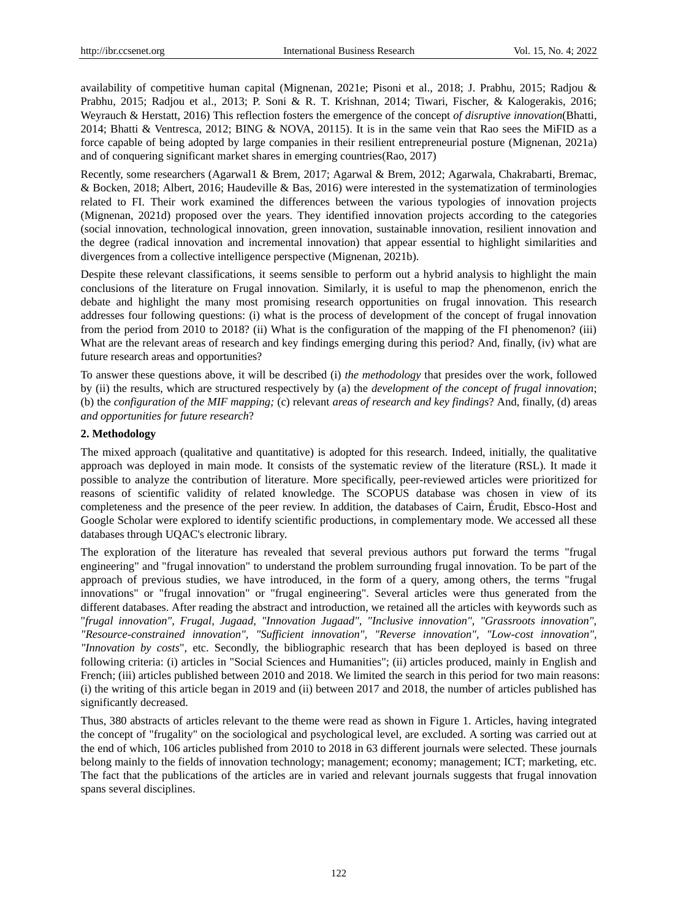availability of competitive human capital (Mignenan, 2021e; Pisoni et al., 2018; J. Prabhu, 2015; Radjou & Prabhu, 2015; Radjou et al., 2013; P. Soni & R. T. Krishnan, 2014; Tiwari, Fischer, & Kalogerakis, 2016; Weyrauch & Herstatt, 2016) This reflection fosters the emergence of the concept *of disruptive innovation*(Bhatti, 2014; Bhatti & Ventresca, 2012; BING & NOVA, 20115). It is in the same vein that Rao sees the MiFID as a force capable of being adopted by large companies in their resilient entrepreneurial posture (Mignenan, 2021a) and of conquering significant market shares in emerging countries(Rao, 2017)

Recently, some researchers (Agarwal1 & Brem, 2017; Agarwal & Brem, 2012; Agarwala, Chakrabarti, Bremac, & Bocken, 2018; Albert, 2016; Haudeville & Bas, 2016) were interested in the systematization of terminologies related to FI. Their work examined the differences between the various typologies of innovation projects (Mignenan, 2021d) proposed over the years. They identified innovation projects according to the categories (social innovation, technological innovation, green innovation, sustainable innovation, resilient innovation and the degree (radical innovation and incremental innovation) that appear essential to highlight similarities and divergences from a collective intelligence perspective (Mignenan, 2021b).

Despite these relevant classifications, it seems sensible to perform out a hybrid analysis to highlight the main conclusions of the literature on Frugal innovation. Similarly, it is useful to map the phenomenon, enrich the debate and highlight the many most promising research opportunities on frugal innovation. This research addresses four following questions: (i) what is the process of development of the concept of frugal innovation from the period from 2010 to 2018? (ii) What is the configuration of the mapping of the FI phenomenon? (iii) What are the relevant areas of research and key findings emerging during this period? And, finally, (iv) what are future research areas and opportunities?

To answer these questions above, it will be described (i) *the methodology* that presides over the work, followed by (ii) the results, which are structured respectively by (a) the *development of the concept of frugal innovation*; (b) the *configuration of the MIF mapping;* (c) relevant *areas of research and key findings*? And, finally, (d) areas *and opportunities for future research*?

## **2. Methodology**

The mixed approach (qualitative and quantitative) is adopted for this research. Indeed, initially, the qualitative approach was deployed in main mode. It consists of the systematic review of the literature (RSL). It made it possible to analyze the contribution of literature. More specifically, peer-reviewed articles were prioritized for reasons of scientific validity of related knowledge. The SCOPUS database was chosen in view of its completeness and the presence of the peer review. In addition, the databases of Cairn, Érudit, Ebsco-Host and Google Scholar were explored to identify scientific productions, in complementary mode. We accessed all these databases through UQAC's electronic library.

The exploration of the literature has revealed that several previous authors put forward the terms "frugal engineering" and "frugal innovation" to understand the problem surrounding frugal innovation. To be part of the approach of previous studies, we have introduced, in the form of a query, among others, the terms "frugal innovations" or "frugal innovation" or "frugal engineering". Several articles were thus generated from the different databases. After reading the abstract and introduction, we retained all the articles with keywords such as "*frugal innovation", Frugal, Jugaad, "Innovation Jugaad", "Inclusive innovation", "Grassroots innovation", "Resource-constrained innovation", "Sufficient innovation", "Reverse innovation", "Low-cost innovation", "Innovation by costs*", etc. Secondly, the bibliographic research that has been deployed is based on three following criteria: (i) articles in "Social Sciences and Humanities"; (ii) articles produced, mainly in English and French; (iii) articles published between 2010 and 2018. We limited the search in this period for two main reasons: (i) the writing of this article began in 2019 and (ii) between 2017 and 2018, the number of articles published has significantly decreased.

Thus, 380 abstracts of articles relevant to the theme were read as shown in Figure 1. Articles, having integrated the concept of "frugality" on the sociological and psychological level, are excluded. A sorting was carried out at the end of which, 106 articles published from 2010 to 2018 in 63 different journals were selected. These journals belong mainly to the fields of innovation technology; management; economy; management; ICT; marketing, etc. The fact that the publications of the articles are in varied and relevant journals suggests that frugal innovation spans several disciplines.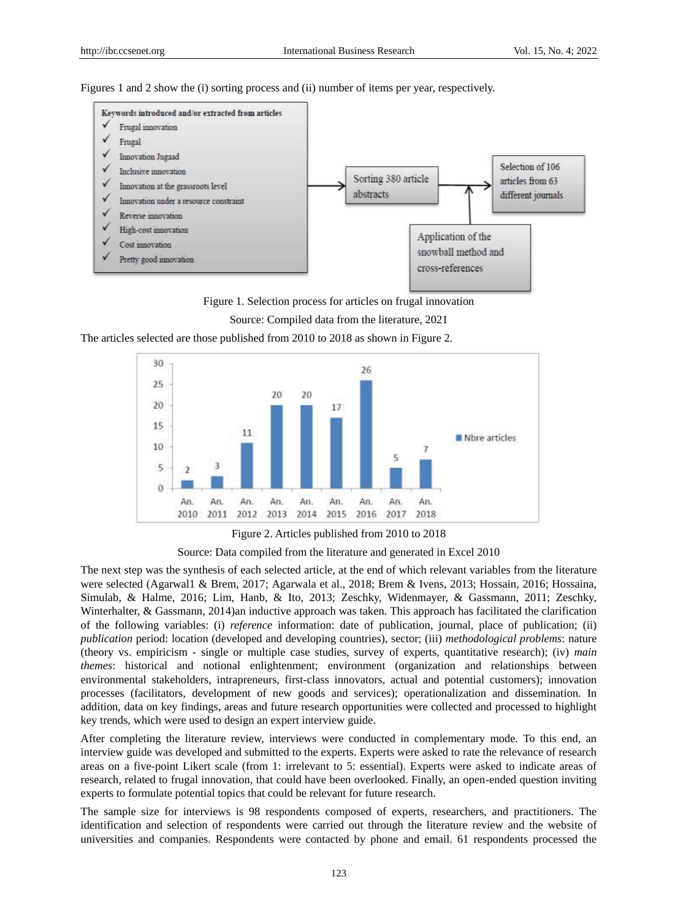Figures 1 and 2 show the (i) sorting process and (ii) number of items per year, respectively.





The articles selected are those published from 2010 to 2018 as shown in Figure 2.



Figure 2. Articles published from 2010 to 2018

Source: Data compiled from the literature and generated in Excel 2010

The next step was the synthesis of each selected article, at the end of which relevant variables from the literature were selected (Agarwal1 & Brem, 2017; Agarwala et al., 2018; Brem & Ivens, 2013; Hossain, 2016; Hossaina, Simulab, & Halme, 2016; Lim, Hanb, & Ito, 2013; Zeschky, Widenmayer, & Gassmann, 2011; Zeschky, Winterhalter, & Gassmann, 2014)an inductive approach was taken. This approach has facilitated the clarification of the following variables: (i) *reference* information: date of publication, journal, place of publication; (ii) *publication* period: location (developed and developing countries), sector; (iii) *methodological problems*: nature (theory vs. empiricism - single or multiple case studies, survey of experts, quantitative research); (iv) *main themes*: historical and notional enlightenment; environment (organization and relationships between environmental stakeholders, intrapreneurs, first-class innovators, actual and potential customers); innovation processes (facilitators, development of new goods and services); operationalization and dissemination. In addition, data on key findings, areas and future research opportunities were collected and processed to highlight key trends, which were used to design an expert interview guide.

After completing the literature review, interviews were conducted in complementary mode. To this end, an interview guide was developed and submitted to the experts. Experts were asked to rate the relevance of research areas on a five-point Likert scale (from 1: irrelevant to 5: essential). Experts were asked to indicate areas of research, related to frugal innovation, that could have been overlooked. Finally, an open-ended question inviting experts to formulate potential topics that could be relevant for future research.

The sample size for interviews is 98 respondents composed of experts, researchers, and practitioners. The identification and selection of respondents were carried out through the literature review and the website of universities and companies. Respondents were contacted by phone and email. 61 respondents processed the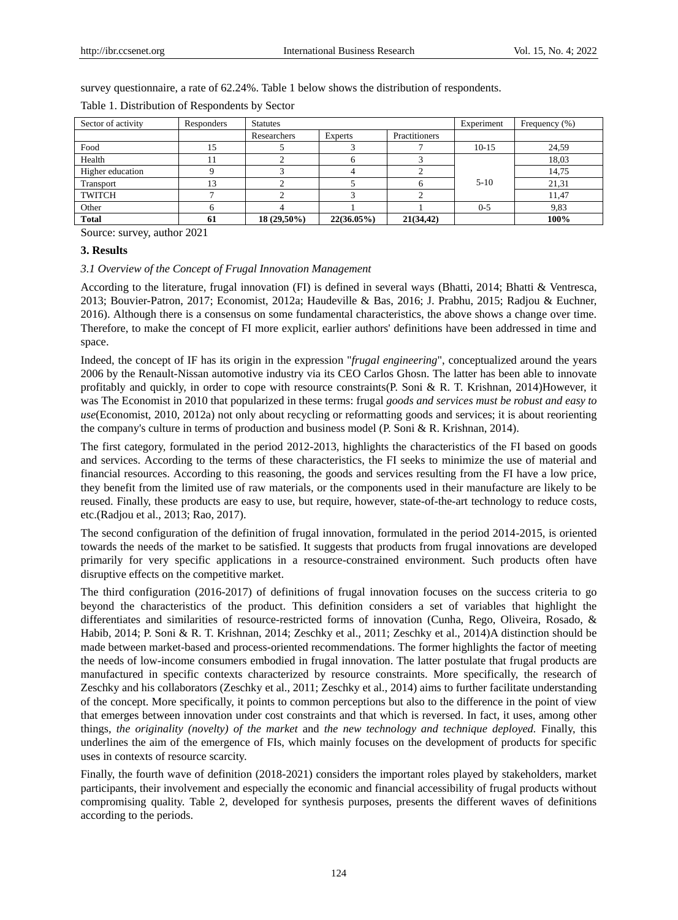survey questionnaire, a rate of 62.24%. Table 1 below shows the distribution of respondents.

| Sector of activity | Responders | <b>Statutes</b> |                |               | Experiment | Frequency (%) |
|--------------------|------------|-----------------|----------------|---------------|------------|---------------|
|                    |            | Researchers     | <b>Experts</b> | Practitioners |            |               |
| Food               | 15         |                 |                |               | $10-15$    | 24.59         |
| Health             |            |                 |                |               |            | 18.03         |
| Higher education   |            |                 |                |               |            | 14.75         |
| Transport          | 13         |                 |                |               | $5 - 10$   | 21.31         |
| <b>TWITCH</b>      |            |                 |                |               |            | 11.47         |
| Other              |            |                 |                |               | $0 - 5$    | 9,83          |
| <b>Total</b>       | 61         | 18 (29,50%)     | $22(36.05\%)$  | 21(34, 42)    |            | 100%          |

Table 1. Distribution of Respondents by Sector

Source: survey, author 2021

#### **3. Results**

#### *3.1 Overview of the Concept of Frugal Innovation Management*

According to the literature, frugal innovation (FI) is defined in several ways (Bhatti, 2014; Bhatti & Ventresca, 2013; Bouvier-Patron, 2017; Economist, 2012a; Haudeville & Bas, 2016; J. Prabhu, 2015; Radjou & Euchner, 2016). Although there is a consensus on some fundamental characteristics, the above shows a change over time. Therefore, to make the concept of FI more explicit, earlier authors' definitions have been addressed in time and space.

Indeed, the concept of IF has its origin in the expression "*frugal engineering*", conceptualized around the years 2006 by the Renault-Nissan automotive industry via its CEO Carlos Ghosn. The latter has been able to innovate profitably and quickly, in order to cope with resource constraints(P. Soni & R. T. Krishnan, 2014)However, it was The Economist in 2010 that popularized in these terms: frugal *goods and services must be robust and easy to use*(Economist, 2010, 2012a) not only about recycling or reformatting goods and services; it is about reorienting the company's culture in terms of production and business model (P. Soni & R. Krishnan, 2014).

The first category, formulated in the period 2012-2013, highlights the characteristics of the FI based on goods and services. According to the terms of these characteristics, the FI seeks to minimize the use of material and financial resources. According to this reasoning, the goods and services resulting from the FI have a low price, they benefit from the limited use of raw materials, or the components used in their manufacture are likely to be reused. Finally, these products are easy to use, but require, however, state-of-the-art technology to reduce costs, etc.(Radjou et al., 2013; Rao, 2017).

The second configuration of the definition of frugal innovation, formulated in the period 2014-2015, is oriented towards the needs of the market to be satisfied. It suggests that products from frugal innovations are developed primarily for very specific applications in a resource-constrained environment. Such products often have disruptive effects on the competitive market.

The third configuration (2016-2017) of definitions of frugal innovation focuses on the success criteria to go beyond the characteristics of the product. This definition considers a set of variables that highlight the differentiates and similarities of resource-restricted forms of innovation (Cunha, Rego, Oliveira, Rosado, & Habib, 2014; P. Soni & R. T. Krishnan, 2014; Zeschky et al., 2011; Zeschky et al., 2014)A distinction should be made between market-based and process-oriented recommendations. The former highlights the factor of meeting the needs of low-income consumers embodied in frugal innovation. The latter postulate that frugal products are manufactured in specific contexts characterized by resource constraints. More specifically, the research of Zeschky and his collaborators (Zeschky et al., 2011; Zeschky et al., 2014) aims to further facilitate understanding of the concept. More specifically, it points to common perceptions but also to the difference in the point of view that emerges between innovation under cost constraints and that which is reversed. In fact, it uses, among other things*, the originality (novelty) of the market* and *the new technology and technique deployed.* Finally, this underlines the aim of the emergence of FIs, which mainly focuses on the development of products for specific uses in contexts of resource scarcity.

Finally, the fourth wave of definition (2018-2021) considers the important roles played by stakeholders, market participants, their involvement and especially the economic and financial accessibility of frugal products without compromising quality. Table 2, developed for synthesis purposes, presents the different waves of definitions according to the periods.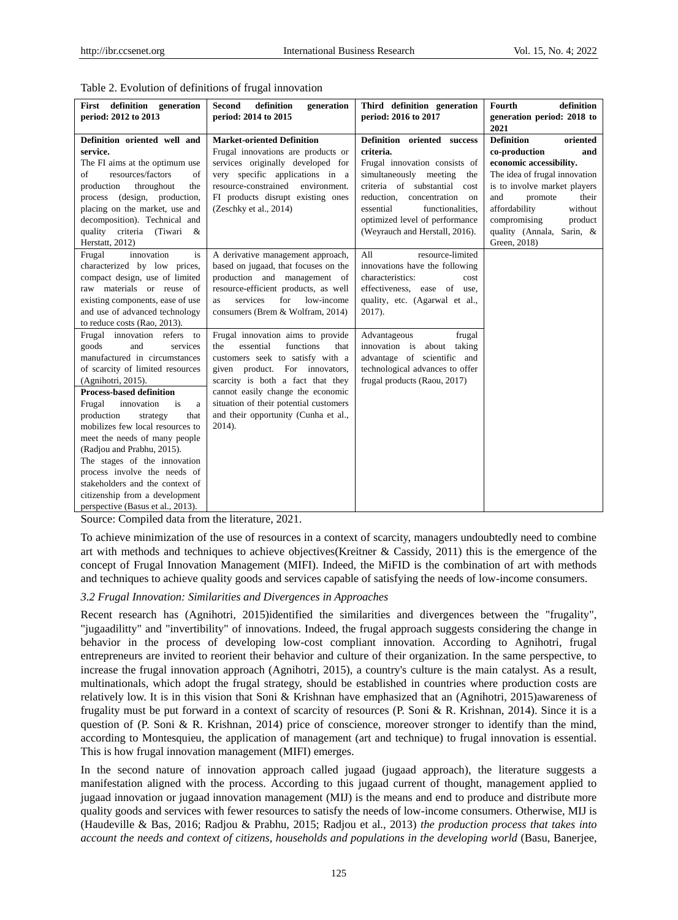| First definition generation<br>period: 2012 to 2013                                                                                                                                                                                                                                                                                                                                                                                                                                                                                     | definition<br><b>Second</b><br>generation<br>period: 2014 to 2015                                                                                                                                                                                                                                                      | Third definition generation<br>period: 2016 to 2017                                                                                                                                                                                                                                     | definition<br>Fourth<br>generation period: 2018 to<br>2021                                                                                                                                                                                                                       |
|-----------------------------------------------------------------------------------------------------------------------------------------------------------------------------------------------------------------------------------------------------------------------------------------------------------------------------------------------------------------------------------------------------------------------------------------------------------------------------------------------------------------------------------------|------------------------------------------------------------------------------------------------------------------------------------------------------------------------------------------------------------------------------------------------------------------------------------------------------------------------|-----------------------------------------------------------------------------------------------------------------------------------------------------------------------------------------------------------------------------------------------------------------------------------------|----------------------------------------------------------------------------------------------------------------------------------------------------------------------------------------------------------------------------------------------------------------------------------|
| Definition oriented well and<br>service.<br>The FI aims at the optimum use<br>resources/factors<br>of<br>of<br>production<br>throughout<br>the<br>process (design, production,<br>placing on the market, use and<br>decomposition). Technical and<br>quality<br>criteria (Tiwari<br>&<br>Herstatt, 2012)                                                                                                                                                                                                                                | <b>Market-oriented Definition</b><br>Frugal innovations are products or<br>services originally developed for<br>very specific applications in a<br>resource-constrained<br>environment.<br>FI products disrupt existing ones<br>(Zeschky et al., 2014)                                                                 | Definition oriented success<br>criteria.<br>Frugal innovation consists of<br>simultaneously meeting<br>the<br>criteria of substantial<br>cost<br>reduction,<br>concentration<br>on<br>essential<br>functionalities.<br>optimized level of performance<br>(Weyrauch and Herstall, 2016). | <b>Definition</b><br>oriented<br>co-production<br>and<br>economic accessibility.<br>The idea of frugal innovation<br>is to involve market players<br>and<br>promote<br>their<br>affordability<br>without<br>compromising<br>product<br>quality (Annala, Sarin, &<br>Green, 2018) |
| is<br>Frugal<br>innovation<br>characterized by low prices,<br>compact design, use of limited<br>raw materials or reuse of<br>existing components, ease of use<br>and use of advanced technology<br>to reduce costs (Rao, 2013).                                                                                                                                                                                                                                                                                                         | A derivative management approach,<br>based on jugaad, that focuses on the<br>production and management of<br>resource-efficient products, as well<br>for<br>services<br>low-income<br>as<br>consumers (Brem & Wolfram, 2014)                                                                                           | All<br>resource-limited<br>innovations have the following<br>characteristics:<br>cost<br>effectiveness, ease of use,<br>quality, etc. (Agarwal et al.,<br>2017).                                                                                                                        |                                                                                                                                                                                                                                                                                  |
| Frugal innovation refers to<br>goods<br>and<br>services<br>manufactured in circumstances<br>of scarcity of limited resources<br>(Agnihotri, 2015).<br><b>Process-based definition</b><br>Frugal<br>innovation<br>is<br>a<br>production<br>strategy<br>that<br>mobilizes few local resources to<br>meet the needs of many people<br>(Radjou and Prabhu, 2015).<br>The stages of the innovation<br>process involve the needs of<br>stakeholders and the context of<br>citizenship from a development<br>perspective (Basus et al., 2013). | Frugal innovation aims to provide<br>essential<br>functions<br>the<br>that<br>customers seek to satisfy with a<br>given product. For innovators,<br>scarcity is both a fact that they<br>cannot easily change the economic<br>situation of their potential customers<br>and their opportunity (Cunha et al.,<br>2014). | Advantageous<br>frugal<br>innovation is<br>about<br>taking<br>advantage of scientific and<br>technological advances to offer<br>frugal products (Raou, 2017)                                                                                                                            |                                                                                                                                                                                                                                                                                  |

|  |  | Table 2. Evolution of definitions of frugal innovation |
|--|--|--------------------------------------------------------|
|--|--|--------------------------------------------------------|

Source: Compiled data from the literature, 2021.

To achieve minimization of the use of resources in a context of scarcity, managers undoubtedly need to combine art with methods and techniques to achieve objectives(Kreitner & Cassidy, 2011) this is the emergence of the concept of Frugal Innovation Management (MIFI). Indeed, the MiFID is the combination of art with methods and techniques to achieve quality goods and services capable of satisfying the needs of low-income consumers.

# *3.2 Frugal Innovation: Similarities and Divergences in Approaches*

Recent research has (Agnihotri, 2015)identified the similarities and divergences between the "frugality", "jugaadilitty" and "invertibility" of innovations. Indeed, the frugal approach suggests considering the change in behavior in the process of developing low-cost compliant innovation. According to Agnihotri, frugal entrepreneurs are invited to reorient their behavior and culture of their organization. In the same perspective, to increase the frugal innovation approach (Agnihotri, 2015), a country's culture is the main catalyst. As a result, multinationals, which adopt the frugal strategy, should be established in countries where production costs are relatively low. It is in this vision that Soni & Krishnan have emphasized that an (Agnihotri, 2015)awareness of frugality must be put forward in a context of scarcity of resources (P. Soni & R. Krishnan, 2014). Since it is a question of (P. Soni & R. Krishnan, 2014) price of conscience, moreover stronger to identify than the mind, according to Montesquieu, the application of management (art and technique) to frugal innovation is essential. This is how frugal innovation management (MIFI) emerges.

In the second nature of innovation approach called jugaad (jugaad approach), the literature suggests a manifestation aligned with the process. According to this jugaad current of thought, management applied to jugaad innovation or jugaad innovation management (MIJ) is the means and end to produce and distribute more quality goods and services with fewer resources to satisfy the needs of low-income consumers. Otherwise, MIJ is (Haudeville & Bas, 2016; Radjou & Prabhu, 2015; Radjou et al., 2013) *the production process that takes into account the needs and context of citizens, households and populations in the developing world* (Basu, Banerjee,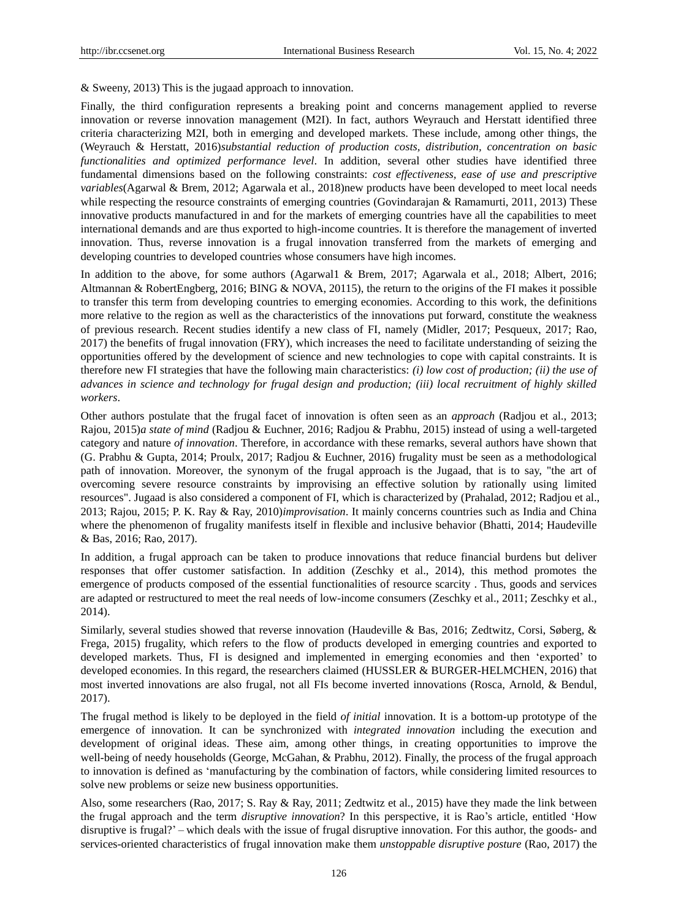& Sweeny, 2013) This is the jugaad approach to innovation.

Finally, the third configuration represents a breaking point and concerns management applied to reverse innovation or reverse innovation management (M2I). In fact, authors Weyrauch and Herstatt identified three criteria characterizing M2I, both in emerging and developed markets. These include, among other things, the (Weyrauch & Herstatt, 2016)*substantial reduction of production costs, distribution, concentration on basic functionalities and optimized performance level*. In addition, several other studies have identified three fundamental dimensions based on the following constraints: *cost effectiveness, ease of use and prescriptive variables*(Agarwal & Brem, 2012; Agarwala et al., 2018)new products have been developed to meet local needs while respecting the resource constraints of emerging countries (Govindarajan & Ramamurti, 2011, 2013) These innovative products manufactured in and for the markets of emerging countries have all the capabilities to meet international demands and are thus exported to high-income countries. It is therefore the management of inverted innovation. Thus, reverse innovation is a frugal innovation transferred from the markets of emerging and developing countries to developed countries whose consumers have high incomes.

In addition to the above, for some authors (Agarwal1 & Brem, 2017; Agarwala et al., 2018; Albert, 2016; Altmannan & RobertEngberg, 2016; BING & NOVA, 20115), the return to the origins of the FI makes it possible to transfer this term from developing countries to emerging economies. According to this work, the definitions more relative to the region as well as the characteristics of the innovations put forward, constitute the weakness of previous research. Recent studies identify a new class of FI, namely (Midler, 2017; Pesqueux, 2017; Rao, 2017) the benefits of frugal innovation (FRY), which increases the need to facilitate understanding of seizing the opportunities offered by the development of science and new technologies to cope with capital constraints. It is therefore new FI strategies that have the following main characteristics: *(i) low cost of production; (ii) the use of advances in science and technology for frugal design and production; (iii) local recruitment of highly skilled workers*.

Other authors postulate that the frugal facet of innovation is often seen as an *approach* (Radjou et al., 2013; Rajou, 2015)*a state of mind* (Radjou & Euchner, 2016; Radjou & Prabhu, 2015) instead of using a well-targeted category and nature *of innovation*. Therefore, in accordance with these remarks, several authors have shown that (G. Prabhu & Gupta, 2014; Proulx, 2017; Radjou & Euchner, 2016) frugality must be seen as a methodological path of innovation. Moreover, the synonym of the frugal approach is the Jugaad, that is to say, "the art of overcoming severe resource constraints by improvising an effective solution by rationally using limited resources". Jugaad is also considered a component of FI, which is characterized by (Prahalad, 2012; Radjou et al., 2013; Rajou, 2015; P. K. Ray & Ray, 2010)*improvisation*. It mainly concerns countries such as India and China where the phenomenon of frugality manifests itself in flexible and inclusive behavior (Bhatti, 2014; Haudeville & Bas, 2016; Rao, 2017).

In addition, a frugal approach can be taken to produce innovations that reduce financial burdens but deliver responses that offer customer satisfaction. In addition (Zeschky et al., 2014), this method promotes the emergence of products composed of the essential functionalities of resource scarcity . Thus, goods and services are adapted or restructured to meet the real needs of low-income consumers (Zeschky et al., 2011; Zeschky et al., 2014).

Similarly, several studies showed that reverse innovation (Haudeville & Bas, 2016; Zedtwitz, Corsi, Søberg, & Frega, 2015) frugality, which refers to the flow of products developed in emerging countries and exported to developed markets. Thus, FI is designed and implemented in emerging economies and then 'exported' to developed economies. In this regard, the researchers claimed (HUSSLER & BURGER-HELMCHEN, 2016) that most inverted innovations are also frugal, not all FIs become inverted innovations (Rosca, Arnold, & Bendul, 2017).

The frugal method is likely to be deployed in the field *of initial* innovation. It is a bottom-up prototype of the emergence of innovation. It can be synchronized with *integrated innovation* including the execution and development of original ideas. These aim, among other things, in creating opportunities to improve the well-being of needy households (George, McGahan, & Prabhu, 2012). Finally, the process of the frugal approach to innovation is defined as 'manufacturing by the combination of factors, while considering limited resources to solve new problems or seize new business opportunities.

Also, some researchers (Rao, 2017; S. Ray & Ray, 2011; Zedtwitz et al., 2015) have they made the link between the frugal approach and the term *disruptive innovation*? In this perspective, it is Rao's article, entitled 'How disruptive is frugal?' – which deals with the issue of frugal disruptive innovation. For this author, the goods- and services-oriented characteristics of frugal innovation make them *unstoppable disruptive posture* (Rao, 2017) the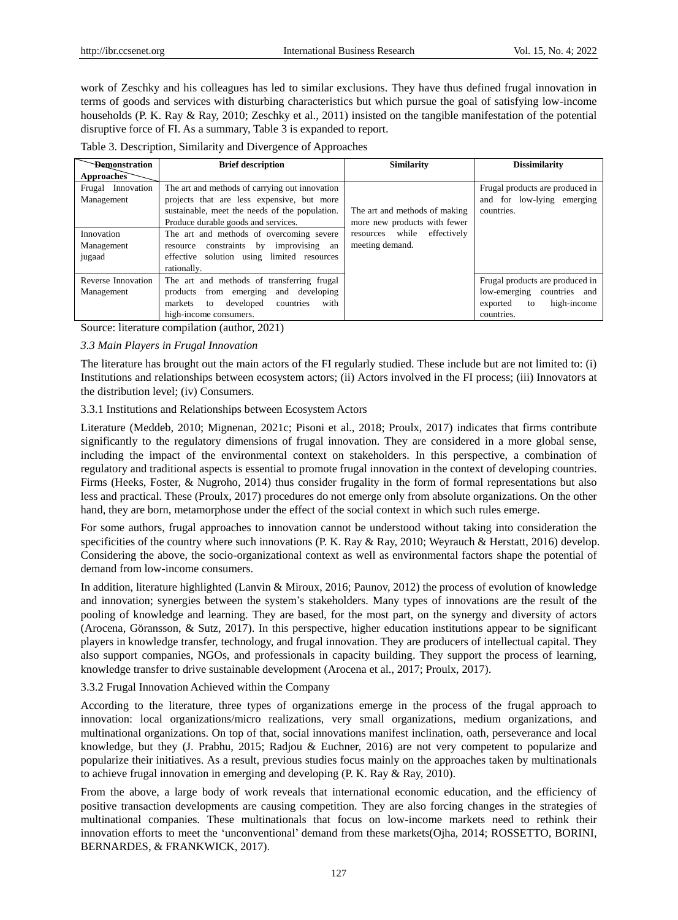work of Zeschky and his colleagues has led to similar exclusions. They have thus defined frugal innovation in terms of goods and services with disturbing characteristics but which pursue the goal of satisfying low-income households (P. K. Ray & Ray, 2010; Zeschky et al., 2011) insisted on the tangible manifestation of the potential disruptive force of FI. As a summary, Table 3 is expanded to report.

| <b>Bemonstration</b>               | <b>Brief description</b>                                                                     | <b>Similarity</b>                 | <b>Dissimilarity</b>                                          |  |
|------------------------------------|----------------------------------------------------------------------------------------------|-----------------------------------|---------------------------------------------------------------|--|
| Approaches                         |                                                                                              |                                   |                                                               |  |
| Frugal<br>Innovation<br>Management | The art and methods of carrying out innovation<br>projects that are less expensive, but more |                                   | Frugal products are produced in<br>and for low-lying emerging |  |
|                                    | sustainable, meet the needs of the population.                                               | The art and methods of making     | countries.                                                    |  |
|                                    | Produce durable goods and services.                                                          | more new products with fewer      |                                                               |  |
| Innovation                         | The art and methods of overcoming severe                                                     | while<br>effectively<br>resources |                                                               |  |
| Management                         | improvising<br>constraints<br>$-$ by<br>resource<br>an                                       | meeting demand.                   |                                                               |  |
| jugaad                             | effective solution using limited resources                                                   |                                   |                                                               |  |
|                                    | rationally.                                                                                  |                                   |                                                               |  |
| Reverse Innovation                 | The art and methods of transferring frugal                                                   |                                   | Frugal products are produced in                               |  |
| Management                         | products from emerging<br>and developing                                                     |                                   | low-emerging countries and                                    |  |
|                                    | with<br>markets<br>developed<br>countries<br>to                                              |                                   | high-income<br>exported<br>to                                 |  |
|                                    | high-income consumers.                                                                       |                                   | countries.                                                    |  |

Source: literature compilation (author, 2021)

# *3.3 Main Players in Frugal Innovation*

The literature has brought out the main actors of the FI regularly studied. These include but are not limited to: (i) Institutions and relationships between ecosystem actors; (ii) Actors involved in the FI process; (iii) Innovators at the distribution level; (iv) Consumers.

# 3.3.1 Institutions and Relationships between Ecosystem Actors

Literature (Meddeb, 2010; Mignenan, 2021c; Pisoni et al., 2018; Proulx, 2017) indicates that firms contribute significantly to the regulatory dimensions of frugal innovation. They are considered in a more global sense, including the impact of the environmental context on stakeholders. In this perspective, a combination of regulatory and traditional aspects is essential to promote frugal innovation in the context of developing countries. Firms (Heeks, Foster, & Nugroho, 2014) thus consider frugality in the form of formal representations but also less and practical. These (Proulx, 2017) procedures do not emerge only from absolute organizations. On the other hand, they are born, metamorphose under the effect of the social context in which such rules emerge.

For some authors, frugal approaches to innovation cannot be understood without taking into consideration the specificities of the country where such innovations (P. K. Ray & Ray, 2010; Weyrauch & Herstatt, 2016) develop. Considering the above, the socio-organizational context as well as environmental factors shape the potential of demand from low-income consumers.

In addition, literature highlighted (Lanvin & Miroux, 2016; Paunov, 2012) the process of evolution of knowledge and innovation; synergies between the system's stakeholders. Many types of innovations are the result of the pooling of knowledge and learning. They are based, for the most part, on the synergy and diversity of actors (Arocena, Göransson, & Sutz, 2017). In this perspective, higher education institutions appear to be significant players in knowledge transfer, technology, and frugal innovation. They are producers of intellectual capital. They also support companies, NGOs, and professionals in capacity building. They support the process of learning, knowledge transfer to drive sustainable development (Arocena et al., 2017; Proulx, 2017).

# 3.3.2 Frugal Innovation Achieved within the Company

According to the literature, three types of organizations emerge in the process of the frugal approach to innovation: local organizations/micro realizations, very small organizations, medium organizations, and multinational organizations. On top of that, social innovations manifest inclination, oath, perseverance and local knowledge, but they (J. Prabhu, 2015; Radjou & Euchner, 2016) are not very competent to popularize and popularize their initiatives. As a result, previous studies focus mainly on the approaches taken by multinationals to achieve frugal innovation in emerging and developing (P. K. Ray & Ray, 2010).

From the above, a large body of work reveals that international economic education, and the efficiency of positive transaction developments are causing competition. They are also forcing changes in the strategies of multinational companies. These multinationals that focus on low-income markets need to rethink their innovation efforts to meet the 'unconventional' demand from these markets(Ojha, 2014; ROSSETTO, BORINI, BERNARDES, & FRANKWICK, 2017).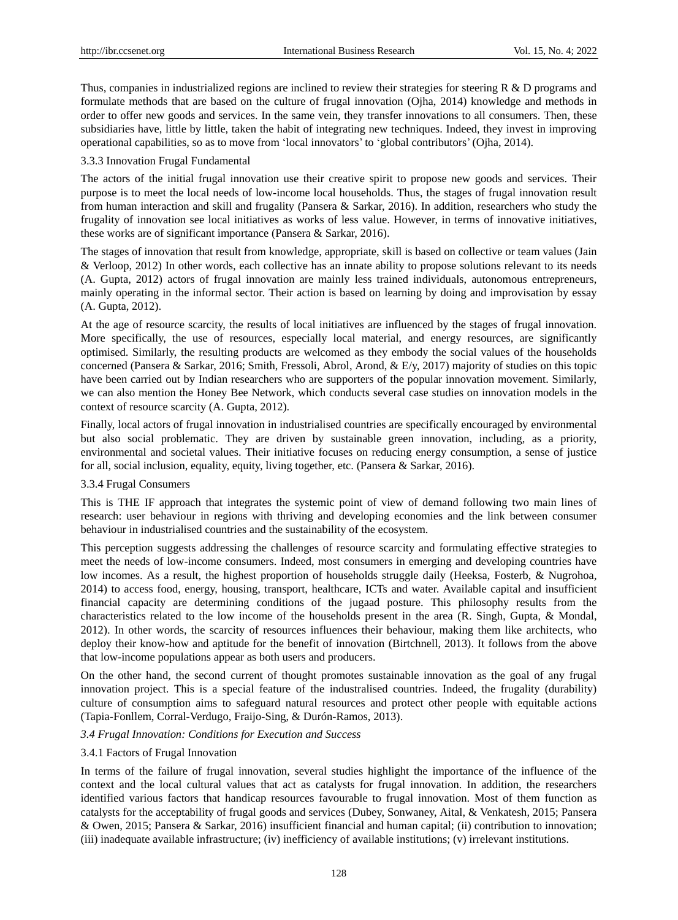Thus, companies in industrialized regions are inclined to review their strategies for steering  $R \& D$  programs and formulate methods that are based on the culture of frugal innovation (Ojha, 2014) knowledge and methods in order to offer new goods and services. In the same vein, they transfer innovations to all consumers. Then, these subsidiaries have, little by little, taken the habit of integrating new techniques. Indeed, they invest in improving operational capabilities, so as to move from 'local innovators' to 'global contributors' (Ojha, 2014).

## 3.3.3 Innovation Frugal Fundamental

The actors of the initial frugal innovation use their creative spirit to propose new goods and services. Their purpose is to meet the local needs of low-income local households. Thus, the stages of frugal innovation result from human interaction and skill and frugality (Pansera & Sarkar, 2016). In addition, researchers who study the frugality of innovation see local initiatives as works of less value. However, in terms of innovative initiatives, these works are of significant importance (Pansera & Sarkar, 2016).

The stages of innovation that result from knowledge, appropriate, skill is based on collective or team values (Jain & Verloop, 2012) In other words, each collective has an innate ability to propose solutions relevant to its needs (A. Gupta, 2012) actors of frugal innovation are mainly less trained individuals, autonomous entrepreneurs, mainly operating in the informal sector. Their action is based on learning by doing and improvisation by essay (A. Gupta, 2012).

At the age of resource scarcity, the results of local initiatives are influenced by the stages of frugal innovation. More specifically, the use of resources, especially local material, and energy resources, are significantly optimised. Similarly, the resulting products are welcomed as they embody the social values of the households concerned (Pansera & Sarkar, 2016; Smith, Fressoli, Abrol, Arond, & E/y, 2017) majority of studies on this topic have been carried out by Indian researchers who are supporters of the popular innovation movement. Similarly, we can also mention the Honey Bee Network, which conducts several case studies on innovation models in the context of resource scarcity (A. Gupta, 2012).

Finally, local actors of frugal innovation in industrialised countries are specifically encouraged by environmental but also social problematic. They are driven by sustainable green innovation, including, as a priority, environmental and societal values. Their initiative focuses on reducing energy consumption, a sense of justice for all, social inclusion, equality, equity, living together, etc. (Pansera & Sarkar, 2016).

# 3.3.4 Frugal Consumers

This is THE IF approach that integrates the systemic point of view of demand following two main lines of research: user behaviour in regions with thriving and developing economies and the link between consumer behaviour in industrialised countries and the sustainability of the ecosystem.

This perception suggests addressing the challenges of resource scarcity and formulating effective strategies to meet the needs of low-income consumers. Indeed, most consumers in emerging and developing countries have low incomes. As a result, the highest proportion of households struggle daily (Heeksa, Fosterb, & Nugrohoa, 2014) to access food, energy, housing, transport, healthcare, ICTs and water. Available capital and insufficient financial capacity are determining conditions of the jugaad posture. This philosophy results from the characteristics related to the low income of the households present in the area (R. Singh, Gupta, & Mondal, 2012). In other words, the scarcity of resources influences their behaviour, making them like architects, who deploy their know-how and aptitude for the benefit of innovation (Birtchnell, 2013). It follows from the above that low-income populations appear as both users and producers.

On the other hand, the second current of thought promotes sustainable innovation as the goal of any frugal innovation project. This is a special feature of the industralised countries. Indeed, the frugality (durability) culture of consumption aims to safeguard natural resources and protect other people with equitable actions (Tapia-Fonllem, Corral-Verdugo, Fraijo-Sing, & Durón-Ramos, 2013).

#### *3.4 Frugal Innovation: Conditions for Execution and Success*

# 3.4.1 Factors of Frugal Innovation

In terms of the failure of frugal innovation, several studies highlight the importance of the influence of the context and the local cultural values that act as catalysts for frugal innovation. In addition, the researchers identified various factors that handicap resources favourable to frugal innovation. Most of them function as catalysts for the acceptability of frugal goods and services (Dubey, Sonwaney, Aital, & Venkatesh, 2015; Pansera & Owen, 2015; Pansera & Sarkar, 2016) insufficient financial and human capital; (ii) contribution to innovation; (iii) inadequate available infrastructure; (iv) inefficiency of available institutions; (v) irrelevant institutions.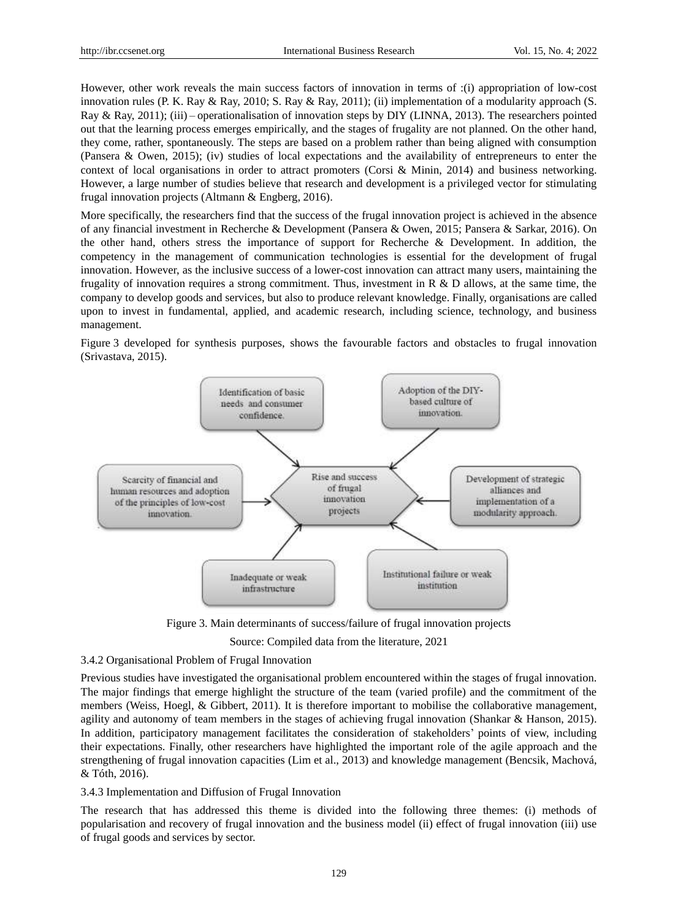However, other work reveals the main success factors of innovation in terms of :(i) appropriation of low-cost innovation rules (P. K. Ray & Ray, 2010; S. Ray & Ray, 2011); (ii) implementation of a modularity approach (S. Ray & Ray, 2011); (iii) – operationalisation of innovation steps by DIY (LINNA, 2013). The researchers pointed out that the learning process emerges empirically, and the stages of frugality are not planned. On the other hand, they come, rather, spontaneously. The steps are based on a problem rather than being aligned with consumption (Pansera & Owen, 2015); (iv) studies of local expectations and the availability of entrepreneurs to enter the context of local organisations in order to attract promoters (Corsi & Minin, 2014) and business networking. However, a large number of studies believe that research and development is a privileged vector for stimulating frugal innovation projects (Altmann & Engberg, 2016).

More specifically, the researchers find that the success of the frugal innovation project is achieved in the absence of any financial investment in Recherche & Development (Pansera & Owen, 2015; Pansera & Sarkar, 2016). On the other hand, others stress the importance of support for Recherche & Development. In addition, the competency in the management of communication technologies is essential for the development of frugal innovation. However, as the inclusive success of a lower-cost innovation can attract many users, maintaining the frugality of innovation requires a strong commitment. Thus, investment in R  $\&$  D allows, at the same time, the company to develop goods and services, but also to produce relevant knowledge. Finally, organisations are called upon to invest in fundamental, applied, and academic research, including science, technology, and business management.

Figure 3 developed for synthesis purposes, shows the favourable factors and obstacles to frugal innovation (Srivastava, 2015).



Figure 3. Main determinants of success/failure of frugal innovation projects

Source: Compiled data from the literature, 2021

# 3.4.2 Organisational Problem of Frugal Innovation

Previous studies have investigated the organisational problem encountered within the stages of frugal innovation. The major findings that emerge highlight the structure of the team (varied profile) and the commitment of the members (Weiss, Hoegl, & Gibbert, 2011). It is therefore important to mobilise the collaborative management, agility and autonomy of team members in the stages of achieving frugal innovation (Shankar & Hanson, 2015). In addition, participatory management facilitates the consideration of stakeholders' points of view, including their expectations. Finally, other researchers have highlighted the important role of the agile approach and the strengthening of frugal innovation capacities (Lim et al., 2013) and knowledge management (Bencsik, Machová, & Tóth, 2016).

# 3.4.3 Implementation and Diffusion of Frugal Innovation

The research that has addressed this theme is divided into the following three themes: (i) methods of popularisation and recovery of frugal innovation and the business model (ii) effect of frugal innovation (iii) use of frugal goods and services by sector.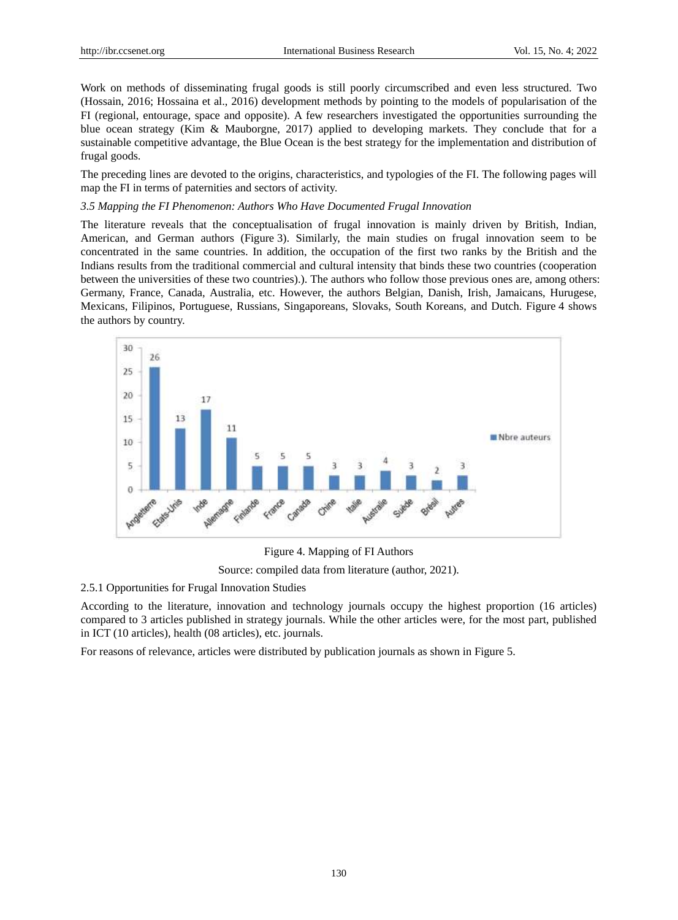Work on methods of disseminating frugal goods is still poorly circumscribed and even less structured. Two (Hossain, 2016; Hossaina et al., 2016) development methods by pointing to the models of popularisation of the FI (regional, entourage, space and opposite). A few researchers investigated the opportunities surrounding the blue ocean strategy (Kim & Mauborgne, 2017) applied to developing markets. They conclude that for a sustainable competitive advantage, the Blue Ocean is the best strategy for the implementation and distribution of frugal goods.

The preceding lines are devoted to the origins, characteristics, and typologies of the FI. The following pages will map the FI in terms of paternities and sectors of activity.

#### *3.5 Mapping the FI Phenomenon: Authors Who Have Documented Frugal Innovation*

The literature reveals that the conceptualisation of frugal innovation is mainly driven by British, Indian, American, and German authors (Figure 3). Similarly, the main studies on frugal innovation seem to be concentrated in the same countries. In addition, the occupation of the first two ranks by the British and the Indians results from the traditional commercial and cultural intensity that binds these two countries (cooperation between the universities of these two countries).). The authors who follow those previous ones are, among others: Germany, France, Canada, Australia, etc. However, the authors Belgian, Danish, Irish, Jamaicans, Hurugese, Mexicans, Filipinos, Portuguese, Russians, Singaporeans, Slovaks, South Koreans, and Dutch. Figure 4 shows the authors by country.



Figure 4. Mapping of FI Authors Source: compiled data from literature (author, 2021).

#### 2.5.1 Opportunities for Frugal Innovation Studies

According to the literature, innovation and technology journals occupy the highest proportion (16 articles) compared to 3 articles published in strategy journals. While the other articles were, for the most part, published in ICT (10 articles), health (08 articles), etc. journals.

For reasons of relevance, articles were distributed by publication journals as shown in Figure 5.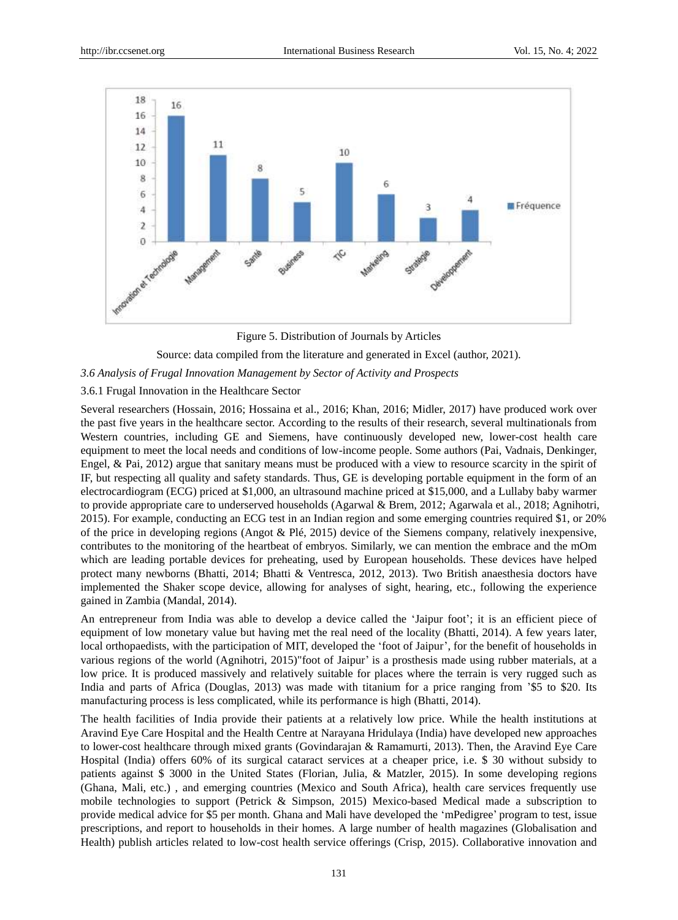

Figure 5. Distribution of Journals by Articles

Source: data compiled from the literature and generated in Excel (author, 2021).

# *3.6 Analysis of Frugal Innovation Management by Sector of Activity and Prospects*

# 3.6.1 Frugal Innovation in the Healthcare Sector

Several researchers (Hossain, 2016; Hossaina et al., 2016; Khan, 2016; Midler, 2017) have produced work over the past five years in the healthcare sector. According to the results of their research, several multinationals from Western countries, including GE and Siemens, have continuously developed new, lower-cost health care equipment to meet the local needs and conditions of low-income people. Some authors (Pai, Vadnais, Denkinger, Engel, & Pai, 2012) argue that sanitary means must be produced with a view to resource scarcity in the spirit of IF, but respecting all quality and safety standards. Thus, GE is developing portable equipment in the form of an electrocardiogram (ECG) priced at \$1,000, an ultrasound machine priced at \$15,000, and a Lullaby baby warmer to provide appropriate care to underserved households (Agarwal & Brem, 2012; Agarwala et al., 2018; Agnihotri, 2015). For example, conducting an ECG test in an Indian region and some emerging countries required \$1, or 20% of the price in developing regions (Angot & Plé, 2015) device of the Siemens company, relatively inexpensive, contributes to the monitoring of the heartbeat of embryos. Similarly, we can mention the embrace and the mOm which are leading portable devices for preheating, used by European households. These devices have helped protect many newborns (Bhatti, 2014; Bhatti & Ventresca, 2012, 2013). Two British anaesthesia doctors have implemented the Shaker scope device, allowing for analyses of sight, hearing, etc., following the experience gained in Zambia (Mandal, 2014).

An entrepreneur from India was able to develop a device called the 'Jaipur foot'; it is an efficient piece of equipment of low monetary value but having met the real need of the locality (Bhatti, 2014). A few years later, local orthopaedists, with the participation of MIT, developed the 'foot of Jaipur', for the benefit of households in various regions of the world (Agnihotri, 2015)"foot of Jaipur' is a prosthesis made using rubber materials, at a low price. It is produced massively and relatively suitable for places where the terrain is very rugged such as India and parts of Africa (Douglas, 2013) was made with titanium for a price ranging from '\$5 to \$20. Its manufacturing process is less complicated, while its performance is high (Bhatti, 2014).

The health facilities of India provide their patients at a relatively low price. While the health institutions at Aravind Eye Care Hospital and the Health Centre at Narayana Hridulaya (India) have developed new approaches to lower-cost healthcare through mixed grants (Govindarajan & Ramamurti, 2013). Then, the Aravind Eye Care Hospital (India) offers 60% of its surgical cataract services at a cheaper price, i.e. \$ 30 without subsidy to patients against \$ 3000 in the United States (Florian, Julia, & Matzler, 2015). In some developing regions (Ghana, Mali, etc.) , and emerging countries (Mexico and South Africa), health care services frequently use mobile technologies to support (Petrick & Simpson, 2015) Mexico-based Medical made a subscription to provide medical advice for \$5 per month. Ghana and Mali have developed the 'mPedigree' program to test, issue prescriptions, and report to households in their homes. A large number of health magazines (Globalisation and Health) publish articles related to low-cost health service offerings (Crisp, 2015). Collaborative innovation and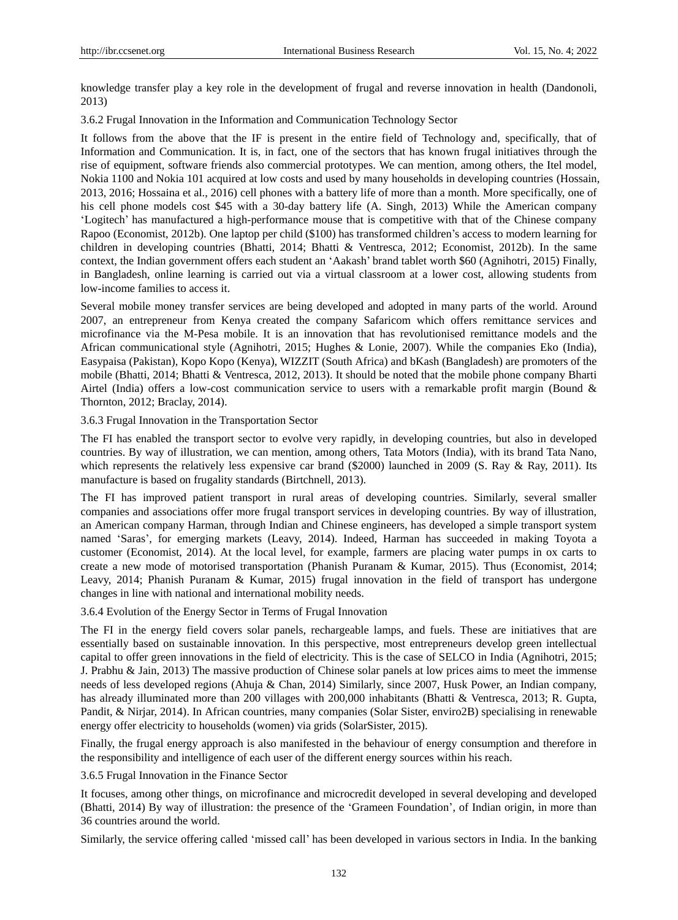knowledge transfer play a key role in the development of frugal and reverse innovation in health (Dandonoli, 2013)

3.6.2 Frugal Innovation in the Information and Communication Technology Sector

It follows from the above that the IF is present in the entire field of Technology and, specifically, that of Information and Communication. It is, in fact, one of the sectors that has known frugal initiatives through the rise of equipment, software friends also commercial prototypes. We can mention, among others, the Itel model, Nokia 1100 and Nokia 101 acquired at low costs and used by many households in developing countries (Hossain, 2013, 2016; Hossaina et al., 2016) cell phones with a battery life of more than a month. More specifically, one of his cell phone models cost \$45 with a 30-day battery life (A. Singh, 2013) While the American company 'Logitech' has manufactured a high-performance mouse that is competitive with that of the Chinese company Rapoo (Economist, 2012b). One laptop per child (\$100) has transformed children's access to modern learning for children in developing countries (Bhatti, 2014; Bhatti & Ventresca, 2012; Economist, 2012b). In the same context, the Indian government offers each student an 'Aakash' brand tablet worth \$60 (Agnihotri, 2015) Finally, in Bangladesh, online learning is carried out via a virtual classroom at a lower cost, allowing students from low-income families to access it.

Several mobile money transfer services are being developed and adopted in many parts of the world. Around 2007, an entrepreneur from Kenya created the company Safaricom which offers remittance services and microfinance via the M-Pesa mobile. It is an innovation that has revolutionised remittance models and the African communicational style (Agnihotri, 2015; Hughes & Lonie, 2007). While the companies Eko (India), Easypaisa (Pakistan), Kopo Kopo (Kenya), WIZZIT (South Africa) and bKash (Bangladesh) are promoters of the mobile (Bhatti, 2014; Bhatti & Ventresca, 2012, 2013). It should be noted that the mobile phone company Bharti Airtel (India) offers a low-cost communication service to users with a remarkable profit margin (Bound & Thornton, 2012; Braclay, 2014).

3.6.3 Frugal Innovation in the Transportation Sector

The FI has enabled the transport sector to evolve very rapidly, in developing countries, but also in developed countries. By way of illustration, we can mention, among others, Tata Motors (India), with its brand Tata Nano, which represents the relatively less expensive car brand (\$2000) launched in 2009 (S. Ray & Ray, 2011). Its manufacture is based on frugality standards (Birtchnell, 2013).

The FI has improved patient transport in rural areas of developing countries. Similarly, several smaller companies and associations offer more frugal transport services in developing countries. By way of illustration, an American company Harman, through Indian and Chinese engineers, has developed a simple transport system named 'Saras', for emerging markets (Leavy, 2014). Indeed, Harman has succeeded in making Toyota a customer (Economist, 2014). At the local level, for example, farmers are placing water pumps in ox carts to create a new mode of motorised transportation (Phanish Puranam & Kumar, 2015). Thus (Economist, 2014; Leavy, 2014; Phanish Puranam & Kumar, 2015) frugal innovation in the field of transport has undergone changes in line with national and international mobility needs.

3.6.4 Evolution of the Energy Sector in Terms of Frugal Innovation

The FI in the energy field covers solar panels, rechargeable lamps, and fuels. These are initiatives that are essentially based on sustainable innovation. In this perspective, most entrepreneurs develop green intellectual capital to offer green innovations in the field of electricity. This is the case of SELCO in India (Agnihotri, 2015; J. Prabhu & Jain, 2013) The massive production of Chinese solar panels at low prices aims to meet the immense needs of less developed regions (Ahuja & Chan, 2014) Similarly, since 2007, Husk Power, an Indian company, has already illuminated more than 200 villages with 200,000 inhabitants (Bhatti & Ventresca, 2013; R. Gupta, Pandit, & Nirjar, 2014). In African countries, many companies (Solar Sister, enviro2B) specialising in renewable energy offer electricity to households (women) via grids (SolarSister, 2015).

Finally, the frugal energy approach is also manifested in the behaviour of energy consumption and therefore in the responsibility and intelligence of each user of the different energy sources within his reach.

3.6.5 Frugal Innovation in the Finance Sector

It focuses, among other things, on microfinance and microcredit developed in several developing and developed (Bhatti, 2014) By way of illustration: the presence of the 'Grameen Foundation', of Indian origin, in more than 36 countries around the world.

Similarly, the service offering called 'missed call' has been developed in various sectors in India. In the banking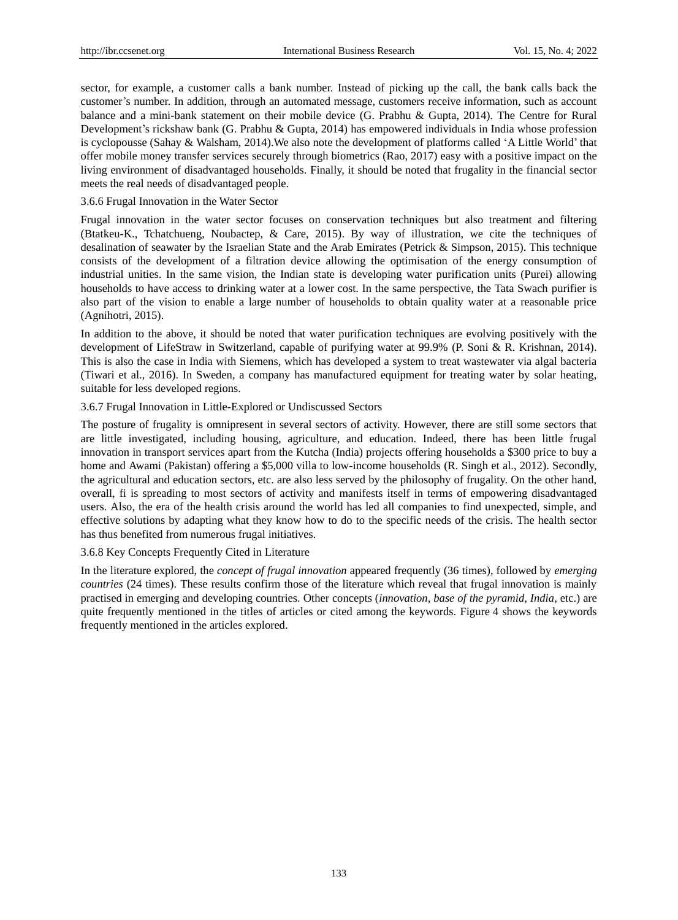sector, for example, a customer calls a bank number. Instead of picking up the call, the bank calls back the customer's number. In addition, through an automated message, customers receive information, such as account balance and a mini-bank statement on their mobile device (G. Prabhu & Gupta, 2014). The Centre for Rural Development's rickshaw bank (G. Prabhu & Gupta, 2014) has empowered individuals in India whose profession is cyclopousse (Sahay & Walsham, 2014).We also note the development of platforms called 'A Little World' that offer mobile money transfer services securely through biometrics (Rao, 2017) easy with a positive impact on the living environment of disadvantaged households. Finally, it should be noted that frugality in the financial sector meets the real needs of disadvantaged people.

## 3.6.6 Frugal Innovation in the Water Sector

Frugal innovation in the water sector focuses on conservation techniques but also treatment and filtering (Btatkeu-K., Tchatchueng, Noubactep, & Care, 2015). By way of illustration, we cite the techniques of desalination of seawater by the Israelian State and the Arab Emirates (Petrick & Simpson, 2015). This technique consists of the development of a filtration device allowing the optimisation of the energy consumption of industrial unities. In the same vision, the Indian state is developing water purification units (Purei) allowing households to have access to drinking water at a lower cost. In the same perspective, the Tata Swach purifier is also part of the vision to enable a large number of households to obtain quality water at a reasonable price (Agnihotri, 2015).

In addition to the above, it should be noted that water purification techniques are evolving positively with the development of LifeStraw in Switzerland, capable of purifying water at 99.9% (P. Soni & R. Krishnan, 2014). This is also the case in India with Siemens, which has developed a system to treat wastewater via algal bacteria (Tiwari et al., 2016). In Sweden, a company has manufactured equipment for treating water by solar heating, suitable for less developed regions.

## 3.6.7 Frugal Innovation in Little-Explored or Undiscussed Sectors

The posture of frugality is omnipresent in several sectors of activity. However, there are still some sectors that are little investigated, including housing, agriculture, and education. Indeed, there has been little frugal innovation in transport services apart from the Kutcha (India) projects offering households a \$300 price to buy a home and Awami (Pakistan) offering a \$5,000 villa to low-income households (R. Singh et al., 2012). Secondly, the agricultural and education sectors, etc. are also less served by the philosophy of frugality. On the other hand, overall, fi is spreading to most sectors of activity and manifests itself in terms of empowering disadvantaged users. Also, the era of the health crisis around the world has led all companies to find unexpected, simple, and effective solutions by adapting what they know how to do to the specific needs of the crisis. The health sector has thus benefited from numerous frugal initiatives.

# 3.6.8 Key Concepts Frequently Cited in Literature

In the literature explored, the *concept of frugal innovation* appeared frequently (36 times), followed by *emerging countries* (24 times). These results confirm those of the literature which reveal that frugal innovation is mainly practised in emerging and developing countries. Other concepts (*innovation, base of the pyramid, India*, etc.) are quite frequently mentioned in the titles of articles or cited among the keywords. Figure 4 shows the keywords frequently mentioned in the articles explored.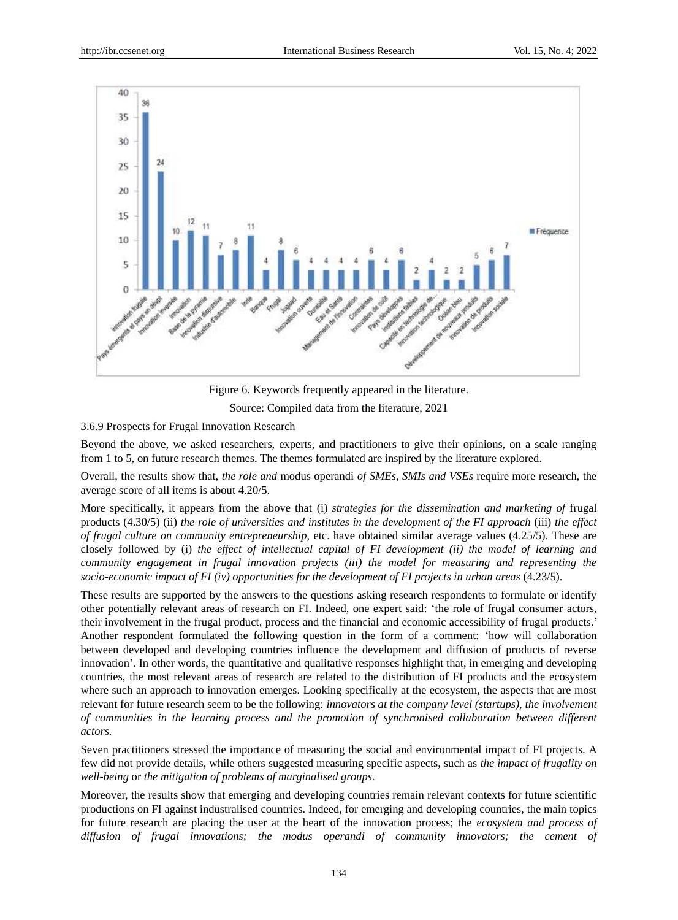

Figure 6. Keywords frequently appeared in the literature. Source: Compiled data from the literature, 2021

3.6.9 Prospects for Frugal Innovation Research

Beyond the above, we asked researchers, experts, and practitioners to give their opinions, on a scale ranging from 1 to 5, on future research themes. The themes formulated are inspired by the literature explored.

Overall, the results show that, *the role and* modus operandi *of SMEs, SMIs and VSEs* require more research, the average score of all items is about 4.20/5.

More specifically, it appears from the above that (i) *strategies for the dissemination and marketing of* frugal products (4.30/5) (ii) *the role of universities and institutes in the development of the FI approach* (iii) *the effect of frugal culture on community entrepreneurship*, etc. have obtained similar average values (4.25/5). These are closely followed by (i) *the effect of intellectual capital of FI development (ii) the model of learning and community engagement in frugal innovation projects (iii) the model for measuring and representing the socio-economic impact of FI (iv) opportunities for the development of FI projects in urban areas* (4.23/5).

These results are supported by the answers to the questions asking research respondents to formulate or identify other potentially relevant areas of research on FI. Indeed, one expert said: 'the role of frugal consumer actors, their involvement in the frugal product, process and the financial and economic accessibility of frugal products.' Another respondent formulated the following question in the form of a comment: 'how will collaboration between developed and developing countries influence the development and diffusion of products of reverse innovation'. In other words, the quantitative and qualitative responses highlight that, in emerging and developing countries, the most relevant areas of research are related to the distribution of FI products and the ecosystem where such an approach to innovation emerges. Looking specifically at the ecosystem, the aspects that are most relevant for future research seem to be the following: *innovators at the company level (startups), the involvement of communities in the learning process and the promotion of synchronised collaboration between different actors.*

Seven practitioners stressed the importance of measuring the social and environmental impact of FI projects. A few did not provide details, while others suggested measuring specific aspects, such as *the impact of frugality on well-being* or *the mitigation of problems of marginalised groups*.

Moreover, the results show that emerging and developing countries remain relevant contexts for future scientific productions on FI against industralised countries. Indeed, for emerging and developing countries, the main topics for future research are placing the user at the heart of the innovation process; the *ecosystem and process of diffusion of frugal innovations; the modus operandi of community innovators; the cement of*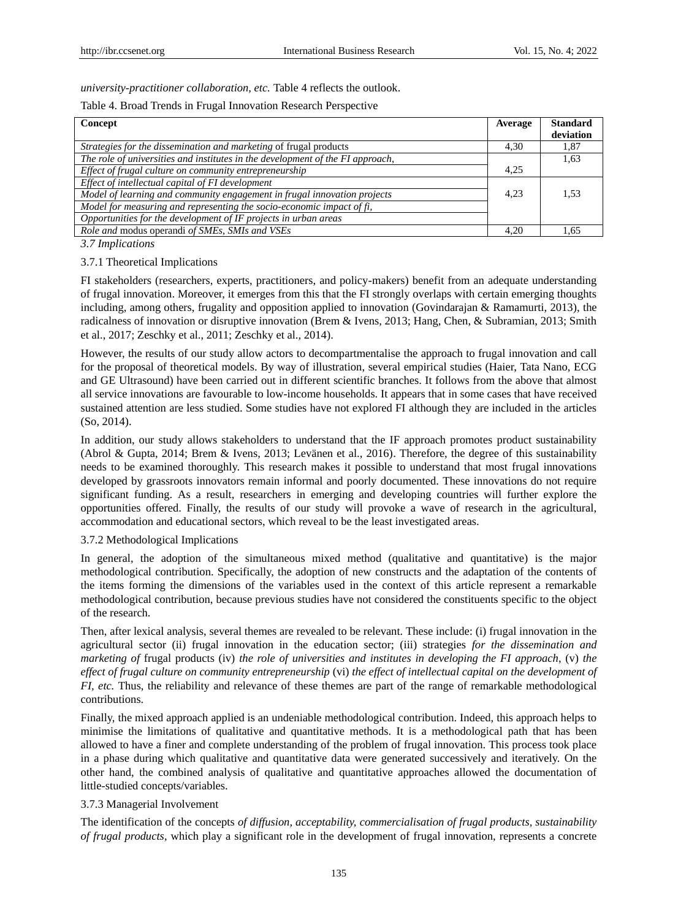*university-practitioner collaboration, etc.* Table 4 reflects the outlook.

## Table 4. Broad Trends in Frugal Innovation Research Perspective

| Concept                                                                        | Average | <b>Standard</b><br>deviation |
|--------------------------------------------------------------------------------|---------|------------------------------|
| Strategies for the dissemination and marketing of frugal products              | 4.30    | 1,87                         |
| The role of universities and institutes in the development of the FI approach, |         | 1,63                         |
| Effect of frugal culture on community entrepreneurship                         | 4.25    |                              |
| Effect of intellectual capital of FI development                               |         |                              |
| Model of learning and community engagement in frugal innovation projects       | 4.23    | 1.53                         |
| Model for measuring and representing the socio-economic impact of fi,          |         |                              |
| Opportunities for the development of IF projects in urban areas                |         |                              |
| Role and modus operandi of SMEs, SMIs and VSEs                                 | 4.20    | 1.65                         |

*3.7 Implications*

#### 3.7.1 Theoretical Implications

FI stakeholders (researchers, experts, practitioners, and policy-makers) benefit from an adequate understanding of frugal innovation. Moreover, it emerges from this that the FI strongly overlaps with certain emerging thoughts including, among others, frugality and opposition applied to innovation (Govindarajan & Ramamurti, 2013), the radicalness of innovation or disruptive innovation (Brem & Ivens, 2013; Hang, Chen, & Subramian, 2013; Smith et al., 2017; Zeschky et al., 2011; Zeschky et al., 2014).

However, the results of our study allow actors to decompartmentalise the approach to frugal innovation and call for the proposal of theoretical models. By way of illustration, several empirical studies (Haier, Tata Nano, ECG and GE Ultrasound) have been carried out in different scientific branches. It follows from the above that almost all service innovations are favourable to low-income households. It appears that in some cases that have received sustained attention are less studied. Some studies have not explored FI although they are included in the articles (So, 2014).

In addition, our study allows stakeholders to understand that the IF approach promotes product sustainability (Abrol & Gupta, 2014; Brem & Ivens, 2013; Levänen et al., 2016). Therefore, the degree of this sustainability needs to be examined thoroughly. This research makes it possible to understand that most frugal innovations developed by grassroots innovators remain informal and poorly documented. These innovations do not require significant funding. As a result, researchers in emerging and developing countries will further explore the opportunities offered. Finally, the results of our study will provoke a wave of research in the agricultural, accommodation and educational sectors, which reveal to be the least investigated areas.

## 3.7.2 Methodological Implications

In general, the adoption of the simultaneous mixed method (qualitative and quantitative) is the major methodological contribution. Specifically, the adoption of new constructs and the adaptation of the contents of the items forming the dimensions of the variables used in the context of this article represent a remarkable methodological contribution, because previous studies have not considered the constituents specific to the object of the research.

Then, after lexical analysis, several themes are revealed to be relevant. These include: (i) frugal innovation in the agricultural sector (ii) frugal innovation in the education sector; (iii) strategies *for the dissemination and marketing of* frugal products (iv) *the role of universities and institutes in developing the FI approach*, (v) *the effect of frugal culture on community entrepreneurship* (vi) *the effect of intellectual capital on the development of FI, etc.* Thus, the reliability and relevance of these themes are part of the range of remarkable methodological contributions.

Finally, the mixed approach applied is an undeniable methodological contribution. Indeed, this approach helps to minimise the limitations of qualitative and quantitative methods. It is a methodological path that has been allowed to have a finer and complete understanding of the problem of frugal innovation. This process took place in a phase during which qualitative and quantitative data were generated successively and iteratively. On the other hand, the combined analysis of qualitative and quantitative approaches allowed the documentation of little-studied concepts/variables.

# 3.7.3 Managerial Involvement

The identification of the concepts *of diffusion, acceptability, commercialisation of frugal products, sustainability of frugal products,* which play a significant role in the development of frugal innovation, represents a concrete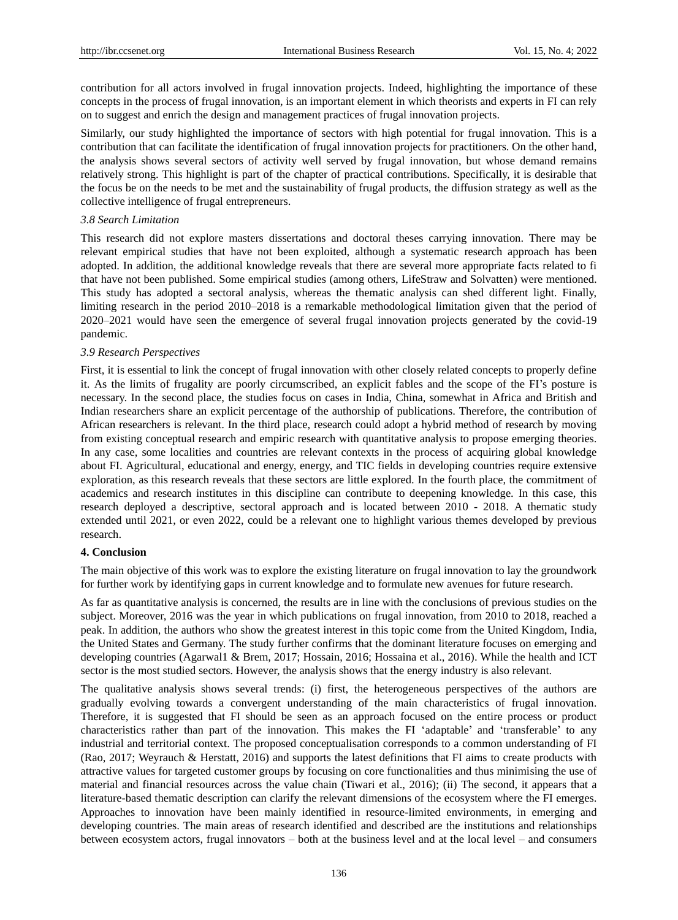contribution for all actors involved in frugal innovation projects. Indeed, highlighting the importance of these concepts in the process of frugal innovation, is an important element in which theorists and experts in FI can rely on to suggest and enrich the design and management practices of frugal innovation projects.

Similarly, our study highlighted the importance of sectors with high potential for frugal innovation. This is a contribution that can facilitate the identification of frugal innovation projects for practitioners. On the other hand, the analysis shows several sectors of activity well served by frugal innovation, but whose demand remains relatively strong. This highlight is part of the chapter of practical contributions. Specifically, it is desirable that the focus be on the needs to be met and the sustainability of frugal products, the diffusion strategy as well as the collective intelligence of frugal entrepreneurs.

#### *3.8 Search Limitation*

This research did not explore masters dissertations and doctoral theses carrying innovation. There may be relevant empirical studies that have not been exploited, although a systematic research approach has been adopted. In addition, the additional knowledge reveals that there are several more appropriate facts related to fi that have not been published. Some empirical studies (among others, LifeStraw and Solvatten) were mentioned. This study has adopted a sectoral analysis, whereas the thematic analysis can shed different light. Finally, limiting research in the period 2010–2018 is a remarkable methodological limitation given that the period of 2020–2021 would have seen the emergence of several frugal innovation projects generated by the covid-19 pandemic.

#### *3.9 Research Perspectives*

First, it is essential to link the concept of frugal innovation with other closely related concepts to properly define it. As the limits of frugality are poorly circumscribed, an explicit fables and the scope of the FI's posture is necessary. In the second place, the studies focus on cases in India, China, somewhat in Africa and British and Indian researchers share an explicit percentage of the authorship of publications. Therefore, the contribution of African researchers is relevant. In the third place, research could adopt a hybrid method of research by moving from existing conceptual research and empiric research with quantitative analysis to propose emerging theories. In any case, some localities and countries are relevant contexts in the process of acquiring global knowledge about FI. Agricultural, educational and energy, energy, and TIC fields in developing countries require extensive exploration, as this research reveals that these sectors are little explored. In the fourth place, the commitment of academics and research institutes in this discipline can contribute to deepening knowledge. In this case, this research deployed a descriptive, sectoral approach and is located between 2010 - 2018. A thematic study extended until 2021, or even 2022, could be a relevant one to highlight various themes developed by previous research.

# **4. Conclusion**

The main objective of this work was to explore the existing literature on frugal innovation to lay the groundwork for further work by identifying gaps in current knowledge and to formulate new avenues for future research.

As far as quantitative analysis is concerned, the results are in line with the conclusions of previous studies on the subject. Moreover, 2016 was the year in which publications on frugal innovation, from 2010 to 2018, reached a peak. In addition, the authors who show the greatest interest in this topic come from the United Kingdom, India, the United States and Germany. The study further confirms that the dominant literature focuses on emerging and developing countries (Agarwal1 & Brem, 2017; Hossain, 2016; Hossaina et al., 2016). While the health and ICT sector is the most studied sectors. However, the analysis shows that the energy industry is also relevant.

The qualitative analysis shows several trends: (i) first, the heterogeneous perspectives of the authors are gradually evolving towards a convergent understanding of the main characteristics of frugal innovation. Therefore, it is suggested that FI should be seen as an approach focused on the entire process or product characteristics rather than part of the innovation. This makes the FI 'adaptable' and 'transferable' to any industrial and territorial context. The proposed conceptualisation corresponds to a common understanding of FI (Rao, 2017; Weyrauch & Herstatt, 2016) and supports the latest definitions that FI aims to create products with attractive values for targeted customer groups by focusing on core functionalities and thus minimising the use of material and financial resources across the value chain (Tiwari et al., 2016); (ii) The second, it appears that a literature-based thematic description can clarify the relevant dimensions of the ecosystem where the FI emerges. Approaches to innovation have been mainly identified in resource-limited environments, in emerging and developing countries. The main areas of research identified and described are the institutions and relationships between ecosystem actors, frugal innovators – both at the business level and at the local level – and consumers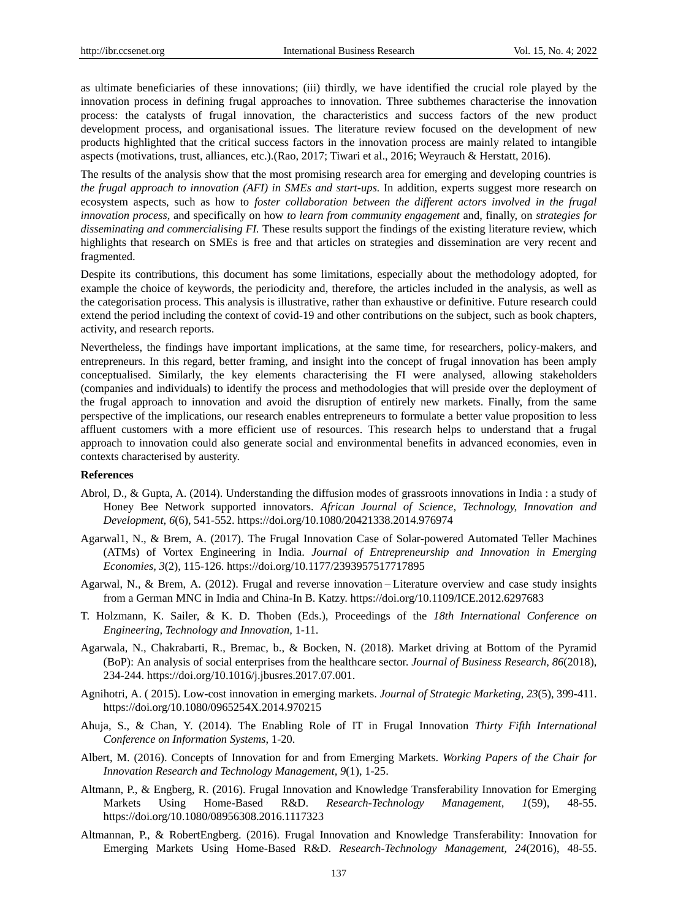as ultimate beneficiaries of these innovations; (iii) thirdly, we have identified the crucial role played by the innovation process in defining frugal approaches to innovation. Three subthemes characterise the innovation process: the catalysts of frugal innovation, the characteristics and success factors of the new product development process, and organisational issues. The literature review focused on the development of new products highlighted that the critical success factors in the innovation process are mainly related to intangible aspects (motivations, trust, alliances, etc.).(Rao, 2017; Tiwari et al., 2016; Weyrauch & Herstatt, 2016).

The results of the analysis show that the most promising research area for emerging and developing countries is *the frugal approach to innovation (AFI) in SMEs and start-ups.* In addition, experts suggest more research on ecosystem aspects, such as how to *foster collaboration between the different actors involved in the frugal innovation process*, and specifically on how *to learn from community engagement* and, finally, on *strategies for disseminating and commercialising FI.* These results support the findings of the existing literature review, which highlights that research on SMEs is free and that articles on strategies and dissemination are very recent and fragmented.

Despite its contributions, this document has some limitations, especially about the methodology adopted, for example the choice of keywords, the periodicity and, therefore, the articles included in the analysis, as well as the categorisation process. This analysis is illustrative, rather than exhaustive or definitive. Future research could extend the period including the context of covid-19 and other contributions on the subject, such as book chapters, activity, and research reports.

Nevertheless, the findings have important implications, at the same time, for researchers, policy-makers, and entrepreneurs. In this regard, better framing, and insight into the concept of frugal innovation has been amply conceptualised. Similarly, the key elements characterising the FI were analysed, allowing stakeholders (companies and individuals) to identify the process and methodologies that will preside over the deployment of the frugal approach to innovation and avoid the disruption of entirely new markets. Finally, from the same perspective of the implications, our research enables entrepreneurs to formulate a better value proposition to less affluent customers with a more efficient use of resources. This research helps to understand that a frugal approach to innovation could also generate social and environmental benefits in advanced economies, even in contexts characterised by austerity.

# **References**

- Abrol, D., & Gupta, A. (2014). Understanding the diffusion modes of grassroots innovations in India : a study of Honey Bee Network supported innovators. *African Journal of Science, Technology, Innovation and Development, 6*(6), 541-552. https://doi.org/10.1080/20421338.2014.976974
- Agarwal1, N., & Brem, A. (2017). The Frugal Innovation Case of Solar-powered Automated Teller Machines (ATMs) of Vortex Engineering in India. *Journal of Entrepreneurship and Innovation in Emerging Economies, 3*(2), 115-126. https://doi.org/10.1177/2393957517717895
- Agarwal, N., & Brem, A. (2012). Frugal and reverse innovation Literature overview and case study insights from a German MNC in India and China-In B. Katzy. https://doi.org/10.1109/ICE.2012.6297683
- T. Holzmann, K. Sailer, & K. D. Thoben (Eds.), Proceedings of the *18th International Conference on Engineering, Technology and Innovation,* 1-11.
- Agarwala, N., Chakrabarti, R., Bremac, b., & Bocken, N. (2018). Market driving at Bottom of the Pyramid (BoP): An analysis of social enterprises from the healthcare sector. *Journal of Business Research, 86*(2018), 234-244. https://doi.org/10.1016/j.jbusres.2017.07.001.
- Agnihotri, A. ( 2015). Low-cost innovation in emerging markets. *Journal of Strategic Marketing, 23*(5), 399-411. https://doi.org/10.1080/0965254X.2014.970215
- Ahuja, S., & Chan, Y. (2014). The Enabling Role of IT in Frugal Innovation *Thirty Fifth International Conference on Information Systems*, 1-20.
- Albert, M. (2016). Concepts of Innovation for and from Emerging Markets. *Working Papers of the Chair for Innovation Research and Technology Management, 9*(1), 1-25.
- Altmann, P., & Engberg, R. (2016). Frugal Innovation and Knowledge Transferability Innovation for Emerging Markets Using Home-Based R&D. *Research-Technology Management, 1*(59), 48-55. https://doi.org/10.1080/08956308.2016.1117323
- Altmannan, P., & RobertEngberg. (2016). Frugal Innovation and Knowledge Transferability: Innovation for Emerging Markets Using Home-Based R&D. *Research-Technology Management, 24*(2016), 48-55.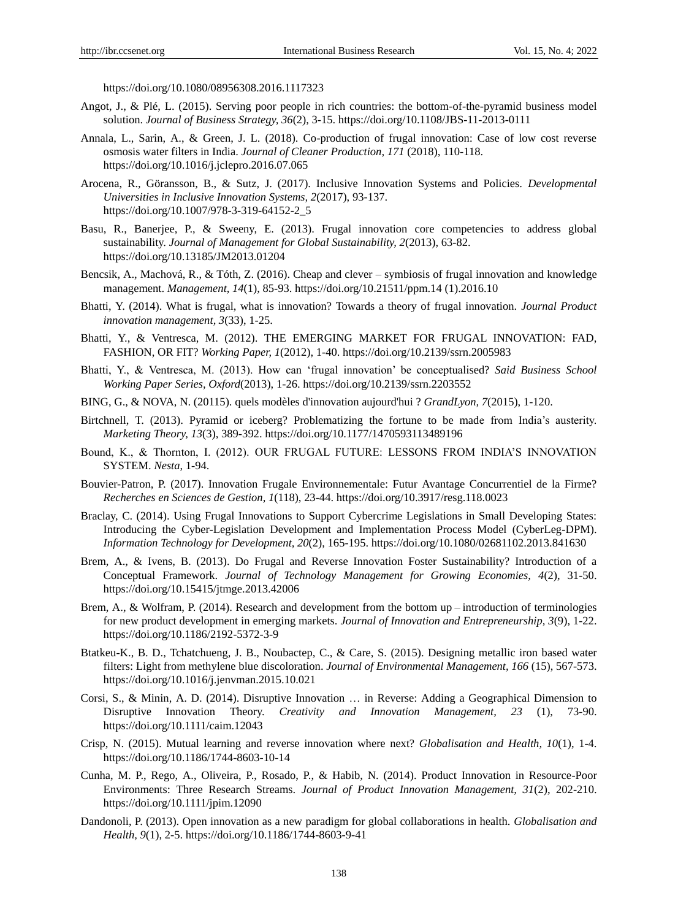https://doi.org/10.1080/08956308.2016.1117323

- Angot, J., & Plé, L. (2015). Serving poor people in rich countries: the bottom-of-the-pyramid business model solution. *Journal of Business Strategy, 36*(2), 3-15. https://doi.org/10.1108/JBS-11-2013-0111
- Annala, L., Sarin, A., & Green, J. L. (2018). Co-production of frugal innovation: Case of low cost reverse osmosis water filters in India. *Journal of Cleaner Production, 171* (2018), 110-118. https://doi.org/10.1016/j.jclepro.2016.07.065
- Arocena, R., Göransson, B., & Sutz, J. (2017). Inclusive Innovation Systems and Policies. *Developmental Universities in Inclusive Innovation Systems, 2*(2017), 93-137. https://doi.org/10.1007/978-3-319-64152-2\_5
- Basu, R., Banerjee, P., & Sweeny, E. (2013). Frugal innovation core competencies to address global sustainability. *Journal of Management for Global Sustainability, 2*(2013), 63-82. https://doi.org/10.13185/JM2013.01204
- Bencsik, A., Machová, R., & Tóth, Z. (2016). Cheap and clever symbiosis of frugal innovation and knowledge management. *Management, 14*(1), 85-93. https://doi.org/10.21511/ppm.14 (1).2016.10
- Bhatti, Y. (2014). What is frugal, what is innovation? Towards a theory of frugal innovation. *Journal Product innovation management, 3*(33), 1-25.
- Bhatti, Y., & Ventresca, M. (2012). THE EMERGING MARKET FOR FRUGAL INNOVATION: FAD, FASHION, OR FIT? *Working Paper, 1*(2012), 1-40. https://doi.org/10.2139/ssrn.2005983
- Bhatti, Y., & Ventresca, M. (2013). How can 'frugal innovation' be conceptualised? *Said Business School Working Paper Series, Oxford*(2013), 1-26. https://doi.org/10.2139/ssrn.2203552
- BING, G., & NOVA, N. (20115). quels modèles d'innovation aujourd'hui ? *GrandLyon, 7*(2015), 1-120.
- Birtchnell, T. (2013). Pyramid or iceberg? Problematizing the fortune to be made from India's austerity. *Marketing Theory, 13*(3), 389-392. https://doi.org/10.1177/1470593113489196
- Bound, K., & Thornton, I. (2012). OUR FRUGAL FUTURE: LESSONS FROM INDIA'S INNOVATION SYSTEM. *Nesta*, 1-94.
- Bouvier-Patron, P. (2017). Innovation Frugale Environnementale: Futur Avantage Concurrentiel de la Firme? *Recherches en Sciences de Gestion, 1*(118), 23-44. https://doi.org/10.3917/resg.118.0023
- Braclay, C. (2014). Using Frugal Innovations to Support Cybercrime Legislations in Small Developing States: Introducing the Cyber-Legislation Development and Implementation Process Model (CyberLeg-DPM). *Information Technology for Development, 20*(2), 165-195. https://doi.org/10.1080/02681102.2013.841630
- Brem, A., & Ivens, B. (2013). Do Frugal and Reverse Innovation Foster Sustainability? Introduction of a Conceptual Framework. *Journal of Technology Management for Growing Economies, 4*(2), 31-50. https://doi.org/10.15415/jtmge.2013.42006
- Brem, A., & Wolfram, P. (2014). Research and development from the bottom up introduction of terminologies for new product development in emerging markets. *Journal of Innovation and Entrepreneurship, 3*(9), 1-22. https://doi.org/10.1186/2192-5372-3-9
- Btatkeu-K., B. D., Tchatchueng, J. B., Noubactep, C., & Care, S. (2015). Designing metallic iron based water filters: Light from methylene blue discoloration. *Journal of Environmental Management, 166* (15), 567-573. https://doi.org/10.1016/j.jenvman.2015.10.021
- Corsi, S., & Minin, A. D. (2014). Disruptive Innovation … in Reverse: Adding a Geographical Dimension to Disruptive Innovation Theory. *Creativity and Innovation Management, 23* (1), 73-90. https://doi.org/10.1111/caim.12043
- Crisp, N. (2015). Mutual learning and reverse innovation  where next? *Globalisation and Health, 10*(1), 1-4. https://doi.org/10.1186/1744-8603-10-14
- Cunha, M. P., Rego, A., Oliveira, P., Rosado, P., & Habib, N. (2014). Product Innovation in Resource-Poor Environments: Three Research Streams. *Journal of Product Innovation Management, 31*(2), 202-210. https://doi.org/10.1111/jpim.12090
- Dandonoli, P. (2013). Open innovation as a new paradigm for global collaborations in health. *Globalisation and Health, 9*(1), 2-5. https://doi.org/10.1186/1744-8603-9-41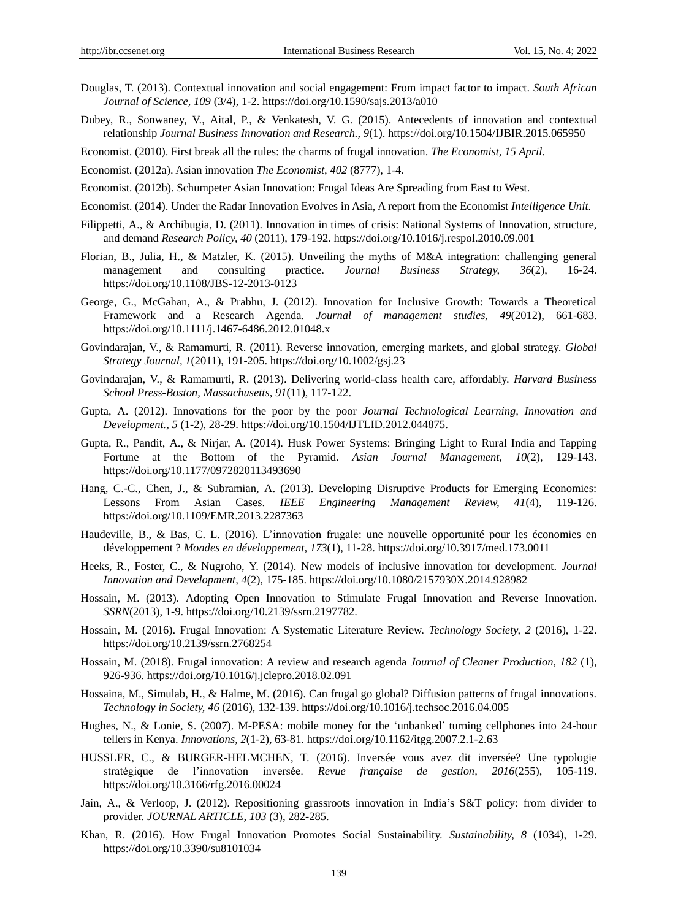- Douglas, T. (2013). Contextual innovation and social engagement: From impact factor to impact. *South African Journal of Science, 109* (3/4), 1-2. https://doi.org/10.1590/sajs.2013/a010
- Dubey, R., Sonwaney, V., Aital, P., & Venkatesh, V. G. (2015). Antecedents of innovation and contextual relationship *Journal Business Innovation and Research., 9*(1). https://doi.org/10.1504/IJBIR.2015.065950
- Economist. (2010). First break all the rules: the charms of frugal innovation. *The Economist, 15 April*.
- Economist. (2012a). Asian innovation *The Economist, 402* (8777), 1-4.
- Economist. (2012b). Schumpeter Asian Innovation: Frugal Ideas Are Spreading from East to West.
- Economist. (2014). Under the Radar Innovation Evolves in Asia, A report from the Economist *Intelligence Unit*.
- Filippetti, A., & Archibugia, D. (2011). Innovation in times of crisis: National Systems of Innovation, structure, and demand *Research Policy, 40* (2011), 179-192. https://doi.org/10.1016/j.respol.2010.09.001
- Florian, B., Julia, H., & Matzler, K. (2015). Unveiling the myths of M&A integration: challenging general management and consulting practice. *Journal Business Strategy, 36*(2), 16-24. https://doi.org/10.1108/JBS-12-2013-0123
- George, G., McGahan, A., & Prabhu, J. (2012). Innovation for Inclusive Growth: Towards a Theoretical Framework and a Research Agenda. *Journal of management studies, 49*(2012), 661-683. https://doi.org/10.1111/j.1467-6486.2012.01048.x
- Govindarajan, V., & Ramamurti, R. (2011). Reverse innovation, emerging markets, and global strategy. *Global Strategy Journal, 1*(2011), 191-205. https://doi.org/10.1002/gsj.23
- Govindarajan, V., & Ramamurti, R. (2013). Delivering world-class health care, affordably. *Harvard Business School Press-Boston, Massachusetts, 91*(11), 117-122.
- Gupta, A. (2012). Innovations for the poor by the poor *Journal Technological Learning, Innovation and Development., 5* (1-2), 28-29. https://doi.org/10.1504/IJTLID.2012.044875.
- Gupta, R., Pandit, A., & Nirjar, A. (2014). Husk Power Systems: Bringing Light to Rural India and Tapping Fortune at the Bottom of the Pyramid. *Asian Journal Management, 10*(2), 129-143. https://doi.org/10.1177/0972820113493690
- Hang, C.-C., Chen, J., & Subramian, A. (2013). Developing Disruptive Products for Emerging Economies: Lessons From Asian Cases. *IEEE Engineering Management Review, 41*(4), 119-126. https://doi.org/10.1109/EMR.2013.2287363
- Haudeville, B., & Bas, C. L. (2016). L'innovation frugale: une nouvelle opportunité pour les économies en développement ? *Mondes en développement, 173*(1), 11-28. https://doi.org/10.3917/med.173.0011
- Heeks, R., Foster, C., & Nugroho, Y. (2014). New models of inclusive innovation for development. *Journal Innovation and Development, 4*(2), 175-185. https://doi.org/10.1080/2157930X.2014.928982
- Hossain, M. (2013). Adopting Open Innovation to Stimulate Frugal Innovation and Reverse Innovation. *SSRN*(2013), 1-9. https://doi.org/10.2139/ssrn.2197782.
- Hossain, M. (2016). Frugal Innovation: A Systematic Literature Review. *Technology Society, 2* (2016), 1-22. https://doi.org/10.2139/ssrn.2768254
- Hossain, M. (2018). Frugal innovation: A review and research agenda *Journal of Cleaner Production, 182* (1), 926-936. https://doi.org/10.1016/j.jclepro.2018.02.091
- Hossaina, M., Simulab, H., & Halme, M. (2016). Can frugal go global? Diffusion patterns of frugal innovations. *Technology in Society, 46* (2016), 132-139. https://doi.org/10.1016/j.techsoc.2016.04.005
- Hughes, N., & Lonie, S. (2007). M-PESA: mobile money for the 'unbanked' turning cellphones into 24-hour tellers in Kenya. *Innovations, 2*(1-2), 63-81. https://doi.org/10.1162/itgg.2007.2.1-2.63
- HUSSLER, C., & BURGER-HELMCHEN, T. (2016). Inversée vous avez dit inversée? Une typologie stratégique de l'innovation inversée. *Revue française de gestion, 2016*(255), 105-119. https://doi.org/10.3166/rfg.2016.00024
- Jain, A., & Verloop, J. (2012). Repositioning grassroots innovation in India's S&T policy: from divider to provider. *JOURNAL ARTICLE, 103* (3), 282-285.
- Khan, R. (2016). How Frugal Innovation Promotes Social Sustainability. *Sustainability, 8* (1034), 1-29. https://doi.org/10.3390/su8101034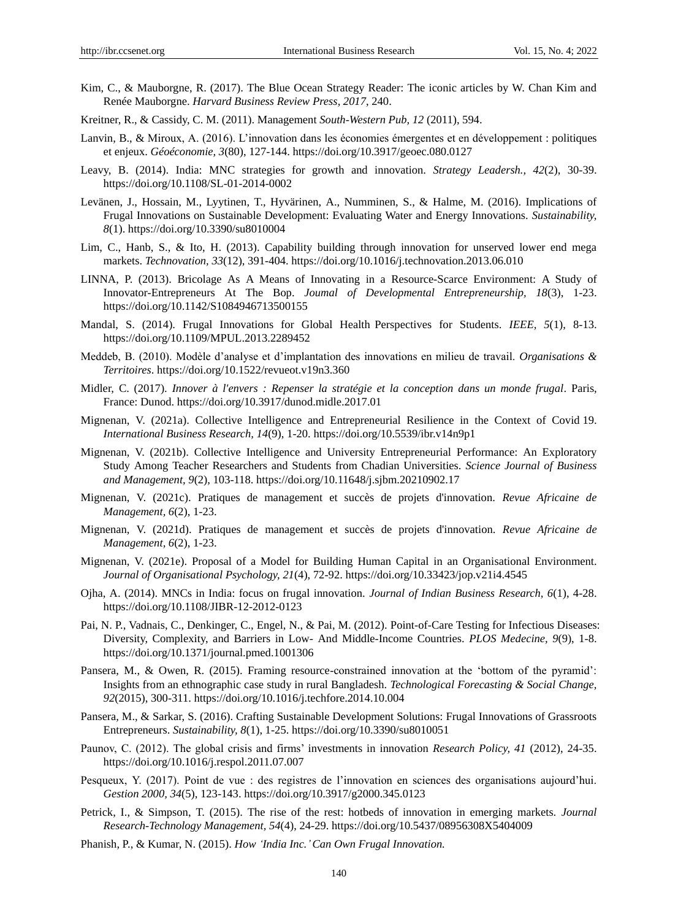- Kim, C., & Mauborgne, R. (2017). The Blue Ocean Strategy Reader: The iconic articles by W. Chan Kim and Renée Mauborgne. *Harvard Business Review Press, 2017*, 240.
- Kreitner, R., & Cassidy, C. M. (2011). Management *South-Western Pub, 12* (2011), 594.
- Lanvin, B., & Miroux, A. (2016). L'innovation dans les économies émergentes et en développement : politiques et enjeux. *Géoéconomie, 3*(80), 127-144. https://doi.org/10.3917/geoec.080.0127
- Leavy, B. (2014). India: MNC strategies for growth and innovation. *Strategy Leadersh., 42*(2), 30-39. https://doi.org/10.1108/SL-01-2014-0002
- Levänen, J., Hossain, M., Lyytinen, T., Hyvärinen, A., Numminen, S., & Halme, M. (2016). Implications of Frugal Innovations on Sustainable Development: Evaluating Water and Energy Innovations. *Sustainability, 8*(1). https://doi.org/10.3390/su8010004
- Lim, C., Hanb, S., & Ito, H. (2013). Capability building through innovation for unserved lower end mega markets. *Technovation, 33*(12), 391-404. https://doi.org/10.1016/j.technovation.2013.06.010
- LINNA, P. (2013). Bricolage As A Means of Innovating in a Resource-Scarce Environment: A Study of Innovator-Entrepreneurs At The Bop. *Joumal of Developmental Entrepreneurship, 18*(3), 1-23. https://doi.org/10.1142/S1084946713500155
- Mandal, S. (2014). Frugal Innovations for Global Health  Perspectives for Students. *IEEE, 5*(1), 8-13. https://doi.org/10.1109/MPUL.2013.2289452
- Meddeb, B. (2010). Modèle d'analyse et d'implantation des innovations en milieu de travail. *Organisations & Territoires*. https://doi.org/10.1522/revueot.v19n3.360
- Midler, C. (2017). *Innover à l'envers : Repenser la stratégie et la conception dans un monde frugal*. Paris, France: Dunod. https://doi.org/10.3917/dunod.midle.2017.01
- Mignenan, V. (2021a). Collective Intelligence and Entrepreneurial Resilience in the Context of Covid 19. *International Business Research, 14*(9), 1-20. https://doi.org/10.5539/ibr.v14n9p1
- Mignenan, V. (2021b). Collective Intelligence and University Entrepreneurial Performance: An Exploratory Study Among Teacher Researchers and Students from Chadian Universities. *Science Journal of Business and Management, 9*(2), 103-118. https://doi.org/10.11648/j.sjbm.20210902.17
- Mignenan, V. (2021c). Pratiques de management et succès de projets d'innovation. *Revue Africaine de Management, 6*(2), 1-23.
- Mignenan, V. (2021d). Pratiques de management et succès de projets d'innovation. *Revue Africaine de Management, 6*(2), 1-23.
- Mignenan, V. (2021e). Proposal of a Model for Building Human Capital in an Organisational Environment. *Journal of Organisational Psychology, 21*(4), 72-92. https://doi.org/10.33423/jop.v21i4.4545
- Ojha, A. (2014). MNCs in India: focus on frugal innovation. *Journal of Indian Business Research, 6*(1), 4-28. https://doi.org/10.1108/JIBR-12-2012-0123
- Pai, N. P., Vadnais, C., Denkinger, C., Engel, N., & Pai, M. (2012). Point-of-Care Testing for Infectious Diseases: Diversity, Complexity, and Barriers in Low- And Middle-Income Countries. *PLOS Medecine, 9*(9), 1-8. https://doi.org/10.1371/journal.pmed.1001306
- Pansera, M., & Owen, R. (2015). Framing resource-constrained innovation at the 'bottom of the pyramid': Insights from an ethnographic case study in rural Bangladesh. *Technological Forecasting & Social Change, 92*(2015), 300-311. https://doi.org/10.1016/j.techfore.2014.10.004
- Pansera, M., & Sarkar, S. (2016). Crafting Sustainable Development Solutions: Frugal Innovations of Grassroots Entrepreneurs. *Sustainability, 8*(1), 1-25. https://doi.org/10.3390/su8010051
- Paunov, C. (2012). The global crisis and firms' investments in innovation *Research Policy, 41* (2012), 24-35. https://doi.org/10.1016/j.respol.2011.07.007
- Pesqueux, Y. (2017). Point de vue : des registres de l'innovation en sciences des organisations aujourd'hui. *Gestion 2000, 34*(5), 123-143. https://doi.org/10.3917/g2000.345.0123
- Petrick, I., & Simpson, T. (2015). The rise of the rest: hotbeds of innovation in emerging markets. *Journal Research-Technology Management, 54*(4), 24-29. https://doi.org/10.5437/08956308X5404009
- Phanish, P., & Kumar, N. (2015). *How 'India Inc.'Can Own Frugal Innovation.*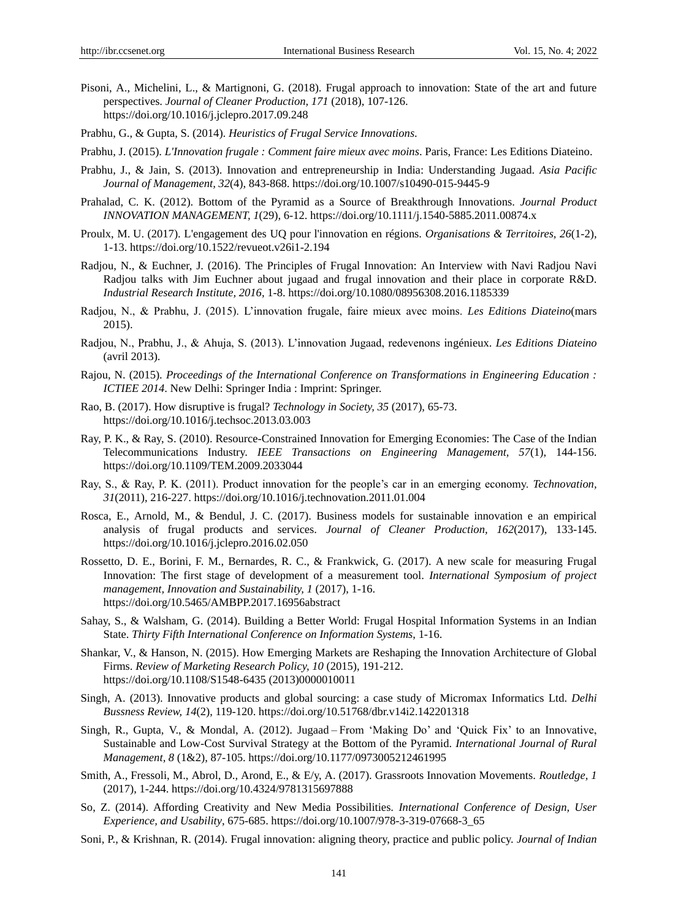- Pisoni, A., Michelini, L., & Martignoni, G. (2018). Frugal approach to innovation: State of the art and future perspectives. *Journal of Cleaner Production, 171* (2018), 107-126. https://doi.org/10.1016/j.jclepro.2017.09.248
- Prabhu, G., & Gupta, S. (2014). *Heuristics of Frugal Service Innovations*.
- Prabhu, J. (2015). *L'Innovation frugale : Comment faire mieux avec moins*. Paris, France: Les Editions Diateino.
- Prabhu, J., & Jain, S. (2013). Innovation and entrepreneurship in India: Understanding Jugaad. *Asia Pacific Journal of Management, 32*(4), 843-868. https://doi.org/10.1007/s10490-015-9445-9
- Prahalad, C. K. (2012). Bottom of the Pyramid as a Source of Breakthrough Innovations. *Journal Product INNOVATION MANAGEMENT, 1*(29), 6-12. https://doi.org/10.1111/j.1540-5885.2011.00874.x
- Proulx, M. U. (2017). L'engagement des UQ pour l'innovation en régions. *Organisations & Territoires, 26*(1-2), 1-13. https://doi.org/10.1522/revueot.v26i1-2.194
- Radjou, N., & Euchner, J. (2016). The Principles of Frugal Innovation: An Interview with Navi Radjou Navi Radjou talks with Jim Euchner about jugaad and frugal innovation and their place in corporate R&D. *Industrial Research Institute, 2016,* 1-8. https://doi.org/10.1080/08956308.2016.1185339
- Radjou, N., & Prabhu, J. (2015). L'innovation frugale, faire mieux avec moins. *Les Editions Diateino*(mars 2015).
- Radjou, N., Prabhu, J., & Ahuja, S. (2013). L'innovation Jugaad, redevenons ingénieux. *Les Editions Diateino* (avril 2013).
- Rajou, N. (2015). *Proceedings of the International Conference on Transformations in Engineering Education : ICTIEE 2014*. New Delhi: Springer India : Imprint: Springer.
- Rao, B. (2017). How disruptive is frugal? *Technology in Society, 35* (2017), 65-73. https://doi.org/10.1016/j.techsoc.2013.03.003
- Ray, P. K., & Ray, S. (2010). Resource-Constrained Innovation for Emerging Economies: The Case of the Indian Telecommunications Industry. *IEEE Transactions on Engineering Management, 57*(1), 144-156. https://doi.org/10.1109/TEM.2009.2033044
- Ray, S., & Ray, P. K. (2011). Product innovation for the people's car in an emerging economy. *Technovation, 31*(2011), 216-227. https://doi.org/10.1016/j.technovation.2011.01.004
- Rosca, E., Arnold, M., & Bendul, J. C. (2017). Business models for sustainable innovation e an empirical analysis of frugal products and services. *Journal of Cleaner Production, 162*(2017), 133-145. https://doi.org/10.1016/j.jclepro.2016.02.050
- Rossetto, D. E., Borini, F. M., Bernardes, R. C., & Frankwick, G. (2017). A new scale for measuring Frugal Innovation: The first stage of development of a measurement tool. *International Symposium of project management, Innovation and Sustainability, 1* (2017), 1-16. https://doi.org/10.5465/AMBPP.2017.16956abstract
- Sahay, S., & Walsham, G. (2014). Building a Better World: Frugal Hospital Information Systems in an Indian State. *Thirty Fifth International Conference on Information Systems*, 1-16.
- Shankar, V., & Hanson, N. (2015). How Emerging Markets are Reshaping the Innovation Architecture of Global Firms. *Review of Marketing Research Policy, 10* (2015), 191-212. https://doi.org/10.1108/S1548-6435 (2013)0000010011
- Singh, A. (2013). Innovative products and global sourcing: a case study of Micromax Informatics Ltd. *Delhi Bussness Review, 14*(2), 119-120. https://doi.org/10.51768/dbr.v14i2.142201318
- Singh, R., Gupta, V., & Mondal, A. (2012). Jugaad From 'Making Do' and 'Quick Fix' to an Innovative, Sustainable and Low-Cost Survival Strategy at the Bottom of the Pyramid. *International Journal of Rural Management, 8* (1&2), 87-105. https://doi.org/10.1177/0973005212461995
- Smith, A., Fressoli, M., Abrol, D., Arond, E., & E/y, A. (2017). Grassroots Innovation Movements. *Routledge, 1* (2017), 1-244. https://doi.org/10.4324/9781315697888
- So, Z. (2014). Affording Creativity and New Media Possibilities. *International Conference of Design, User Experience, and Usability*, 675-685. https://doi.org/10.1007/978-3-319-07668-3\_65
- Soni, P., & Krishnan, R. (2014). Frugal innovation: aligning theory, practice and public policy. *Journal of Indian*